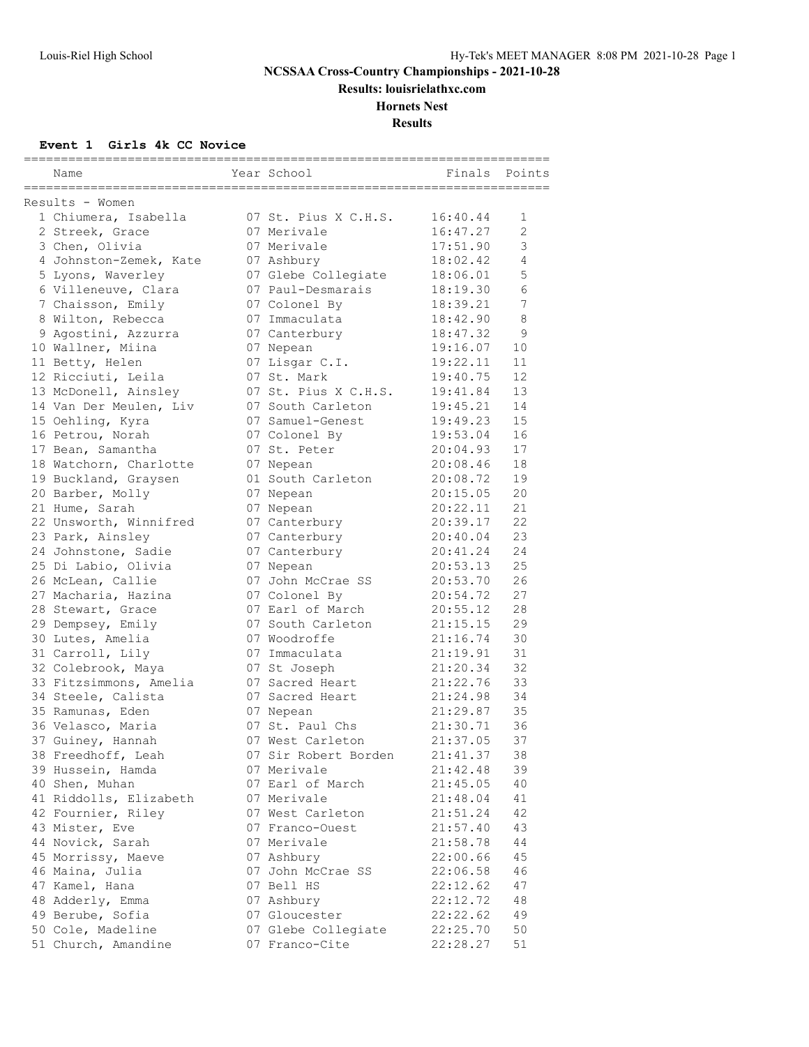**Results: louisrielathxc.com**

#### **Hornets Nest**

**Results**

#### **Event 1 Girls 4k CC Novice**

| Name                   | Year School          | Finals   | Points         |
|------------------------|----------------------|----------|----------------|
|                        |                      |          |                |
| Results - Women        |                      |          |                |
| 1 Chiumera, Isabella   | 07 St. Pius X C.H.S. | 16:40.44 | 1              |
| 2 Streek, Grace        | 07 Merivale          | 16:47.27 | $\overline{c}$ |
| 3 Chen, Olivia         | 07 Merivale          | 17:51.90 | 3              |
| 4 Johnston-Zemek, Kate | 07 Ashbury           | 18:02.42 | $\overline{4}$ |
| 5 Lyons, Waverley      | 07 Glebe Collegiate  | 18:06.01 | 5              |
| 6 Villeneuve, Clara    | 07 Paul-Desmarais    | 18:19.30 | 6              |
| 7 Chaisson, Emily      | 07 Colonel By        | 18:39.21 | 7              |
| 8 Wilton, Rebecca      | 07 Immaculata        | 18:42.90 | $\,8\,$        |
| 9 Agostini, Azzurra    | 07 Canterbury        | 18:47.32 | 9              |
| 10 Wallner, Miina      | 07 Nepean            | 19:16.07 | 10             |
| 11 Betty, Helen        | 07 Lisgar C.I.       | 19:22.11 | 11             |
| 12 Ricciuti, Leila     | 07 St. Mark          | 19:40.75 | 12             |
| 13 McDonell, Ainsley   | 07 St. Pius X C.H.S. | 19:41.84 | 13             |
| 14 Van Der Meulen, Liv | 07 South Carleton    | 19:45.21 | 14             |
| 15 Oehling, Kyra       | 07 Samuel-Genest     | 19:49.23 | 15             |
| 16 Petrou, Norah       | 07 Colonel By        | 19:53.04 | 16             |
| 17 Bean, Samantha      | 07 St. Peter         | 20:04.93 | 17             |
| 18 Watchorn, Charlotte | 07 Nepean            | 20:08.46 | 18             |
| 19 Buckland, Graysen   | 01 South Carleton    | 20:08.72 | 19             |
| 20 Barber, Molly       | 07 Nepean            | 20:15.05 | 20             |
| 21 Hume, Sarah         | 07 Nepean            | 20:22.11 | 21             |
| 22 Unsworth, Winnifred | 07 Canterbury        | 20:39.17 | 22             |
| 23 Park, Ainsley       | 07 Canterbury        | 20:40.04 | 23             |
| 24 Johnstone, Sadie    | 07 Canterbury        | 20:41.24 | 24             |
| 25 Di Labio, Olivia    | 07 Nepean            | 20:53.13 | 25             |
| 26 McLean, Callie      | 07 John McCrae SS    | 20:53.70 | 26             |
| 27 Macharia, Hazina    | 07 Colonel By        | 20:54.72 | 27             |
| 28 Stewart, Grace      | 07 Earl of March     | 20:55.12 | 28             |
| 29 Dempsey, Emily      | 07 South Carleton    | 21:15.15 | 29             |
| 30 Lutes, Amelia       | 07 Woodroffe         | 21:16.74 | 30             |
| 31 Carroll, Lily       | 07 Immaculata        | 21:19.91 | 31             |
| 32 Colebrook, Maya     | 07 St Joseph         | 21:20.34 | 32             |
| 33 Fitzsimmons, Amelia | 07 Sacred Heart      | 21:22.76 | 33             |
| 34 Steele, Calista     | 07 Sacred Heart      | 21:24.98 | 34             |
| 35 Ramunas, Eden       | 07 Nepean            | 21:29.87 | 35             |
| 36 Velasco, Maria      | 07 St. Paul Chs      | 21:30.71 | 36             |
| 37 Guiney, Hannah      | 07 West Carleton     | 21:37.05 | 37             |
| 38 Freedhoff, Leah     | 07 Sir Robert Borden | 21:41.37 | 38             |
| 39 Hussein, Hamda      | 07 Merivale          | 21:42.48 | 39             |
| 40 Shen, Muhan         | 07 Earl of March     | 21:45.05 | 40             |
| 41 Riddolls, Elizabeth | 07 Merivale          | 21:48.04 | 41             |
| 42 Fournier, Riley     | 07 West Carleton     | 21:51.24 | 42             |
| 43 Mister, Eve         | 07 Franco-Ouest      | 21:57.40 | 43             |
| 44 Novick, Sarah       | 07 Merivale          | 21:58.78 | 44             |
| 45 Morrissy, Maeve     | 07 Ashbury           | 22:00.66 | 45             |
| 46 Maina, Julia        | 07 John McCrae SS    | 22:06.58 | 46             |
| 47 Kamel, Hana         | 07 Bell HS           | 22:12.62 | 47             |
| 48 Adderly, Emma       | 07 Ashbury           | 22:12.72 | 48             |
| 49 Berube, Sofia       | 07 Gloucester        | 22:22.62 | 49             |
| 50 Cole, Madeline      | 07 Glebe Collegiate  | 22:25.70 | 50             |
| 51 Church, Amandine    | 07 Franco-Cite       | 22:28.27 | 51             |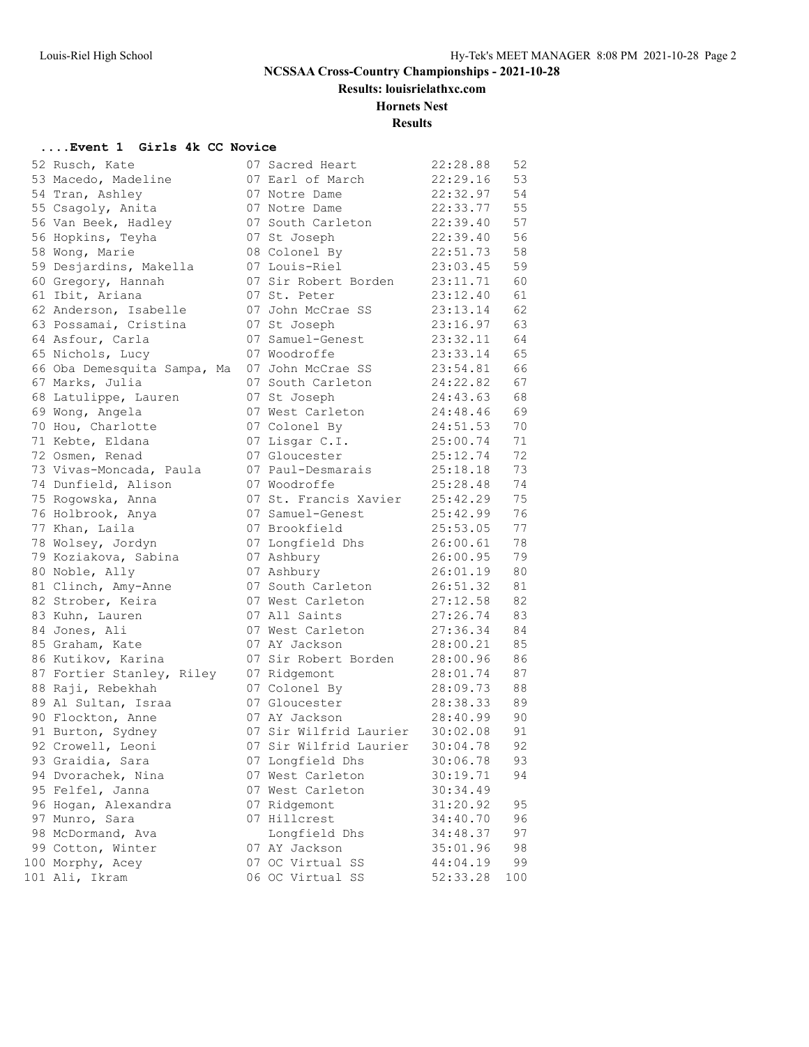**Results: louisrielathxc.com**

#### **Hornets Nest**

**Results**

#### **....Event 1 Girls 4k CC Novice**

|                 | 52 Rusch, Kate                      |
|-----------------|-------------------------------------|
| 53              | Macedo, Madeline                    |
|                 | 54 Tran, Ashley                     |
| 55              | Csagoly, Anita                      |
| 56              | Van Beek, Hadley                    |
|                 | 56 Hopkins, Teyha                   |
| 58              | Wong, Marie                         |
|                 | 59 Desjardins, Makella              |
| 60              | Gregory, Hannah                     |
|                 | 61 Ibit, Ariana                     |
|                 | 62 Anderson, Isabelle               |
|                 | 63 Possamai, Cristina               |
|                 | 64 Asfour, Carla                    |
|                 | 65 Nichols, Lucy                    |
|                 | 66 Oba Demesquita Sampa, Ma         |
| 67              | Marks, Julia                        |
| 68              | Latulippe, Lauren                   |
|                 | 69 Wong, Angela                     |
|                 | 70 Hou, Charlotte                   |
|                 |                                     |
|                 | 71 Kebte, Eldana<br>72 Osmen, Renad |
| 73              | Vivas-Moncada, Paula                |
|                 | 74 Dunfield, Alison                 |
|                 | 75 Rogowska, Anna                   |
|                 | 76 Holbrook, Anya                   |
| 77              | Khan, Laila                         |
| 78              | Wolsey, Jordyn                      |
| 79              | Koziakova, Sabina                   |
| 80              | Noble, Ally                         |
|                 | 81 Clinch, Amy-Anne                 |
|                 | 82 Strober, Keira                   |
| 83              | Kuhn, Lauren                        |
|                 | 84 Jones, Ali                       |
| 85              | Graham, Kate                        |
|                 | 86 Kutikov, Karina                  |
|                 | 87 Fortier Stanley, Riley           |
|                 | 88 Raji, Rebekhah                   |
|                 | 89 Al Sultan, Israa                 |
|                 | 90 Flockton, Anne                   |
|                 | 91 Burton, Sydney                   |
|                 | 92 Crowell, Leoni                   |
| 93              | Graidia, Sara                       |
| 94              | Dvorachek, Nina                     |
| 95              | Felfel, Janna                       |
| 96              | Hogan, Alexandra                    |
| 97              | Munro, Sara                         |
| 98              | McDormand, Ava                      |
|                 | 99 Cotton, Winter                   |
| 00 <sub>o</sub> | Morphy, Acey                        |
| 01              | Ali, Ikram                          |

| 52 Rusch, Kate              | 07 Sacred Heart        | 22:28.88 | 52  |
|-----------------------------|------------------------|----------|-----|
| 53 Macedo, Madeline         | 07 Earl of March       | 22:29.16 | 53  |
| 54 Tran, Ashley             | 07 Notre Dame          | 22:32.97 | 54  |
| 55 Csagoly, Anita           | 07 Notre Dame          | 22:33.77 | 55  |
| 56 Van Beek, Hadley         | 07 South Carleton      | 22:39.40 | 57  |
| 56 Hopkins, Teyha           | 07 St Joseph           | 22:39.40 | 56  |
| 58 Wong, Marie              | 08 Colonel By          | 22:51.73 | 58  |
| 59 Desjardins, Makella      | 07 Louis-Riel          | 23:03.45 | 59  |
| 60 Gregory, Hannah          | 07 Sir Robert Borden   | 23:11.71 | 60  |
| 61 Ibit, Ariana             | 07 St. Peter           | 23:12.40 | 61  |
| 62 Anderson, Isabelle       | 07 John McCrae SS      | 23:13.14 | 62  |
| 63 Possamai, Cristina       | 07 St Joseph           | 23:16.97 | 63  |
| 64 Asfour, Carla            | 07 Samuel-Genest       | 23:32.11 | 64  |
| 65 Nichols, Lucy            | 07 Woodroffe           | 23:33.14 | 65  |
| 66 Oba Demesquita Sampa, Ma | 07 John McCrae SS      | 23:54.81 | 66  |
| 67 Marks, Julia             | 07 South Carleton      | 24:22.82 | 67  |
| 68 Latulippe, Lauren        | 07 St Joseph           | 24:43.63 | 68  |
| 69 Wong, Angela             | 07 West Carleton       | 24:48.46 | 69  |
| 70 Hou, Charlotte           | 07 Colonel By          | 24:51.53 | 70  |
| 71 Kebte, Eldana            | 07 Lisgar C.I.         | 25:00.74 | 71  |
| 72 Osmen, Renad             | 07 Gloucester          | 25:12.74 | 72  |
| 73 Vivas-Moncada, Paula     | 07 Paul-Desmarais      | 25:18.18 | 73  |
| 74 Dunfield, Alison         | 07 Woodroffe           | 25:28.48 | 74  |
| 75 Rogowska, Anna           | 07 St. Francis Xavier  | 25:42.29 | 75  |
| 76 Holbrook, Anya           | 07 Samuel-Genest       | 25:42.99 | 76  |
| 77 Khan, Laila              | 07 Brookfield          | 25:53.05 | 77  |
| 78 Wolsey, Jordyn           | 07 Longfield Dhs       | 26:00.61 | 78  |
| 79 Koziakova, Sabina        | 07 Ashbury             | 26:00.95 | 79  |
| 80 Noble, Ally              | 07 Ashbury             | 26:01.19 | 80  |
| 81 Clinch, Amy-Anne         | 07 South Carleton      | 26:51.32 | 81  |
| 82 Strober, Keira           | 07 West Carleton       | 27:12.58 | 82  |
| 83 Kuhn, Lauren             | 07 All Saints          | 27:26.74 | 83  |
| 84 Jones, Ali               | 07 West Carleton       | 27:36.34 | 84  |
| 85 Graham, Kate             | 07 AY Jackson          | 28:00.21 | 85  |
| 86 Kutikov, Karina          | 07 Sir Robert Borden   | 28:00.96 | 86  |
| 87 Fortier Stanley, Riley   | 07 Ridgemont           | 28:01.74 | 87  |
| 88 Raji, Rebekhah           | 07 Colonel By          | 28:09.73 | 88  |
| 89 Al Sultan, Israa         | 07 Gloucester          | 28:38.33 | 89  |
| 90 Flockton, Anne           | 07 AY Jackson          | 28:40.99 | 90  |
| 91 Burton, Sydney           | 07 Sir Wilfrid Laurier | 30:02.08 | 91  |
| 92 Crowell, Leoni           | 07 Sir Wilfrid Laurier | 30:04.78 | 92  |
| 93 Graidia, Sara            | 07 Longfield Dhs       | 30:06.78 | 93  |
| 94 Dvorachek, Nina          | 07 West Carleton       | 30:19.71 | 94  |
| 95 Felfel, Janna            | 07 West Carleton       | 30:34.49 |     |
| 96 Hogan, Alexandra         | 07 Ridgemont           | 31:20.92 | 95  |
| 97 Munro, Sara              | 07 Hillcrest           | 34:40.70 | 96  |
| 98 McDormand, Ava           | Longfield Dhs          | 34:48.37 | 97  |
| 99 Cotton, Winter           | 07 AY Jackson          | 35:01.96 | 98  |
| 100 Morphy, Acey            | 07 OC Virtual SS       | 44:04.19 | 99  |
| 101 Ali, Ikram              | 06 OC Virtual SS       | 52:33.28 | 100 |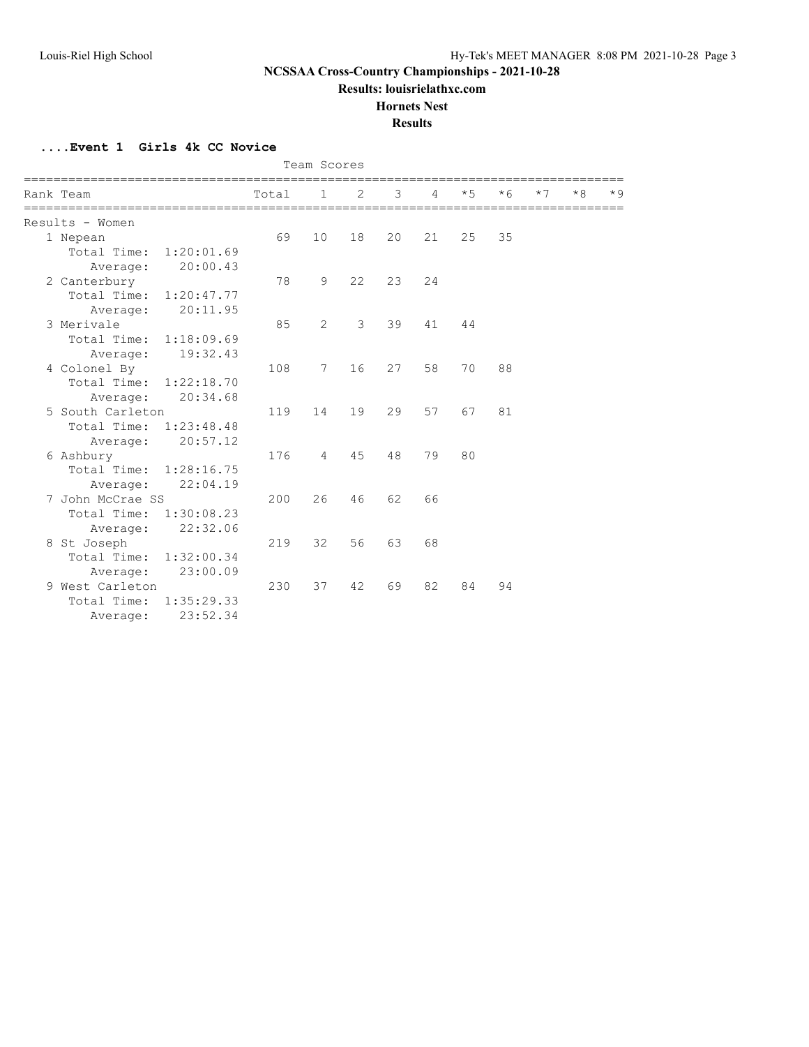**Results: louisrielathxc.com**

#### **Hornets Nest**

**Results**

**....Event 1 Girls 4k CC Novice**

|  |                        |            |       | Team Scores    |                |    |    |      |           |      |      |      |
|--|------------------------|------------|-------|----------------|----------------|----|----|------|-----------|------|------|------|
|  | Rank Team              |            | Total | $\mathbf{1}$   | $\overline{2}$ | 3  | 4  | $*5$ | $\star$ 6 | $*7$ | $*8$ | $*9$ |
|  | Results - Women        |            |       |                |                |    |    |      |           |      |      |      |
|  | 1 Nepean               |            | 69    | 10             | 18             | 20 | 21 | 25   | 35        |      |      |      |
|  | Total Time: 1:20:01.69 |            |       |                |                |    |    |      |           |      |      |      |
|  | Average:               | 20:00.43   |       |                |                |    |    |      |           |      |      |      |
|  | 2 Canterbury           |            | 78    | 9              | 22             | 23 | 24 |      |           |      |      |      |
|  | Total Time: 1:20:47.77 |            |       |                |                |    |    |      |           |      |      |      |
|  | Average:               | 20:11.95   |       |                |                |    |    |      |           |      |      |      |
|  | 3 Merivale             |            | 85    | $\overline{2}$ | 3              | 39 | 41 | 44   |           |      |      |      |
|  | Total Time: 1:18:09.69 |            |       |                |                |    |    |      |           |      |      |      |
|  | Average:               | 19:32.43   |       |                |                |    |    |      |           |      |      |      |
|  | 4 Colonel By           |            | 108   | 7              | 16             | 27 | 58 | 70   | 88        |      |      |      |
|  | Total Time: 1:22:18.70 |            |       |                |                |    |    |      |           |      |      |      |
|  | Average:               | 20:34.68   |       |                |                |    |    |      |           |      |      |      |
|  | 5 South Carleton       |            | 119   | 14             | 19             | 29 | 57 | 67   | 81        |      |      |      |
|  | Total Time: 1:23:48.48 |            |       |                |                |    |    |      |           |      |      |      |
|  | Average:               | 20:57.12   |       |                |                |    |    |      |           |      |      |      |
|  | 6 Ashbury              |            | 176   | $\overline{4}$ | 45             | 48 | 79 | 80   |           |      |      |      |
|  | Total Time: 1:28:16.75 |            |       |                |                |    |    |      |           |      |      |      |
|  | Average:               | 22:04.19   |       |                |                |    |    |      |           |      |      |      |
|  | 7 John McCrae SS       |            | 200   | 26             | 46             | 62 | 66 |      |           |      |      |      |
|  | Total Time: 1:30:08.23 |            |       |                |                |    |    |      |           |      |      |      |
|  | Average:               | 22:32.06   |       |                |                |    |    |      |           |      |      |      |
|  | 8 St Joseph            |            | 219   | 32             | 56             | 63 | 68 |      |           |      |      |      |
|  | Total Time: 1:32:00.34 |            |       |                |                |    |    |      |           |      |      |      |
|  | Average:               | 23:00.09   |       |                |                |    |    |      |           |      |      |      |
|  | 9 West Carleton        |            | 230   | 37             | 42             | 69 | 82 | 84   | 94        |      |      |      |
|  | Total Time:            | 1:35:29.33 |       |                |                |    |    |      |           |      |      |      |
|  | Average:               | 23:52.34   |       |                |                |    |    |      |           |      |      |      |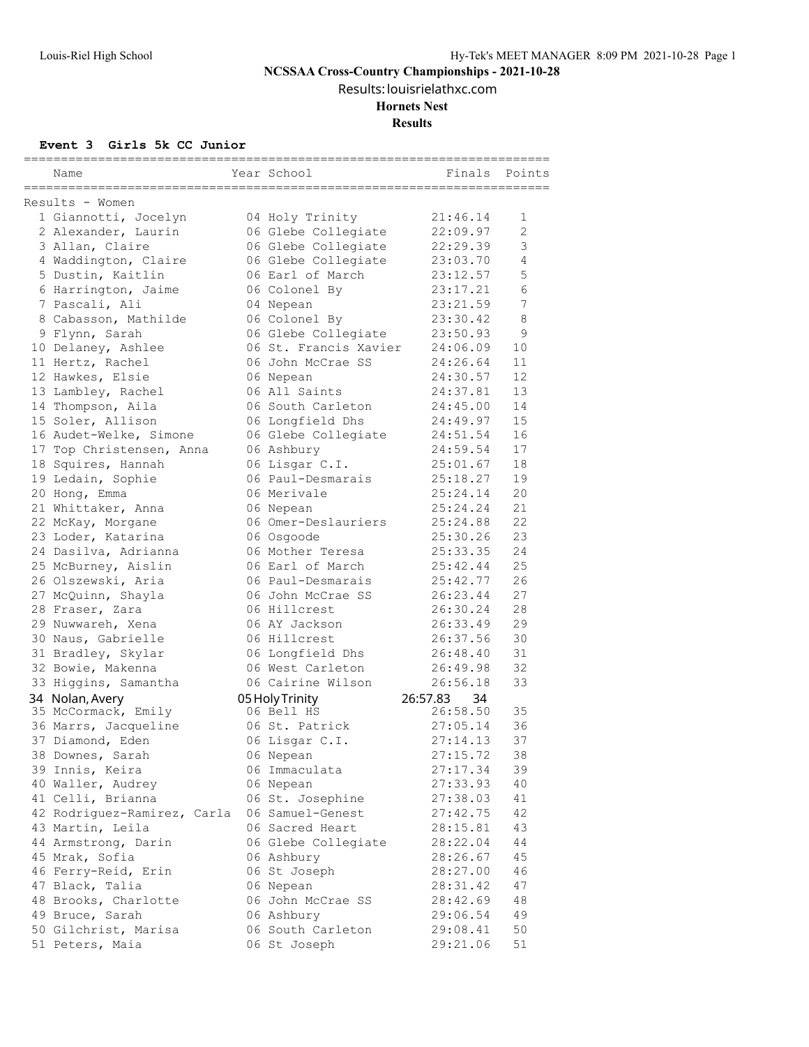Results: louisrielathxc.com

#### **Hornets Nest**

**Results**

#### **Event 3 Girls 5k CC Junior**

|                                                           | =====================================   |             |              |
|-----------------------------------------------------------|-----------------------------------------|-------------|--------------|
| Name                                                      | Year School                             | Finals      | Points       |
| ======================================<br>Results - Women | ================================        |             |              |
| 1 Giannotti, Jocelyn                                      | 04 Holy Trinity                         | 21:46.14    | 1            |
| 2 Alexander, Laurin                                       | 06 Glebe Collegiate                     | 22:09.97    | $\mathbf{2}$ |
| 3 Allan, Claire                                           | 06 Glebe Collegiate                     | 22:29.39    | $\mathsf 3$  |
| 4 Waddington, Claire                                      | 06 Glebe Collegiate                     | 23:03.70    | 4            |
| 5 Dustin, Kaitlin                                         | 06 Earl of March                        | 23:12.57    | 5            |
| 6 Harrington, Jaime                                       | 06 Colonel By                           | 23:17.21    | 6            |
| 7 Pascali, Ali                                            | 04 Nepean                               | 23:21.59    | 7            |
| 8 Cabasson, Mathilde                                      | 06 Colonel By                           | 23:30.42    | 8            |
| 9 Flynn, Sarah                                            | 06 Glebe Collegiate                     | 23:50.93    | 9            |
| 10 Delaney, Ashlee                                        | 06 St. Francis Xavier                   | 24:06.09    | 10           |
| 11 Hertz, Rachel                                          | 06 John McCrae SS                       | 24:26.64    | 11           |
| 12 Hawkes, Elsie                                          | 06 Nepean                               | 24:30.57    | 12           |
| 13 Lambley, Rachel                                        | 06 All Saints                           | 24:37.81    | 13           |
|                                                           | 06 South Carleton                       | 24:45.00    | 14           |
| 14 Thompson, Aila<br>15 Soler, Allison                    |                                         | 24:49.97    | 15           |
|                                                           | 06 Longfield Dhs<br>06 Glebe Collegiate | 24:51.54    | 16           |
| 16 Audet-Welke, Simone                                    | 06 Ashbury                              |             | 17           |
| 17 Top Christensen, Anna                                  |                                         | 24:59.54    |              |
| 18 Squires, Hannah                                        | 06 Lisgar C.I.                          | 25:01.67    | 18<br>19     |
| 19 Ledain, Sophie                                         | 06 Paul-Desmarais                       | 25:18.27    | 20           |
| 20 Hong, Emma                                             | 06 Merivale                             | 25:24.14    |              |
| 21 Whittaker, Anna                                        | 06 Nepean                               | 25:24.24    | 21<br>22     |
| 22 McKay, Morgane                                         | 06 Omer-Deslauriers                     | 25:24.88    |              |
| 23 Loder, Katarina                                        | 06 Osgoode                              | 25:30.26    | 23           |
| 24 Dasilva, Adrianna                                      | 06 Mother Teresa                        | 25:33.35    | 24<br>25     |
| 25 McBurney, Aislin                                       | 06 Earl of March                        | 25:42.44    |              |
| 26 Olszewski, Aria                                        | 06 Paul-Desmarais                       | 25:42.77    | 26           |
| 27 McQuinn, Shayla                                        | 06 John McCrae SS                       | 26:23.44    | 27           |
| 28 Fraser, Zara                                           | 06 Hillcrest                            | 26:30.24    | 28           |
| 29 Nuwwareh, Xena                                         | 06 AY Jackson                           | 26:33.49    | 29           |
| 30 Naus, Gabrielle                                        | 06 Hillcrest                            | 26:37.56    | 30           |
| 31 Bradley, Skylar                                        | 06 Longfield Dhs                        | 26:48.40    | 31           |
| 32 Bowie, Makenna                                         | 06 West Carleton                        | 26:49.98    | 32           |
| 33 Higgins, Samantha                                      | 06 Cairine Wilson                       | 26:56.18    | 33           |
| 34 Nolan, Avery                                           | 05 Holy Trinity                         | 26:57.83 34 |              |
| 35 McCormack, Emily                                       | 06 Bell HS                              | 26:58.50    | 35           |
| 36 Marrs, Jacqueline                                      | 06 St. Patrick                          | 27:05.14    | 36           |
| 37 Diamond, Eden                                          | 06 Lisgar C.I.                          | 27:14.13    | 37           |
| 38 Downes, Sarah                                          | 06 Nepean                               | 27:15.72    | 38           |
| 39 Innis, Keira                                           | 06 Immaculata                           | 27:17.34    | 39           |
| 40 Waller, Audrey                                         | 06 Nepean                               | 27:33.93    | 40           |
| 41 Celli, Brianna                                         | 06 St. Josephine                        | 27:38.03    | 41           |
| 42 Rodriguez-Ramirez, Carla                               | 06 Samuel-Genest                        | 27:42.75    | 42           |
| 43 Martin, Leila                                          | 06 Sacred Heart                         | 28:15.81    | 43           |
| 44 Armstrong, Darin                                       | 06 Glebe Collegiate                     | 28:22.04    | 44           |
| 45 Mrak, Sofia                                            | 06 Ashbury                              | 28:26.67    | 45           |
| 46 Ferry-Reid, Erin                                       | 06 St Joseph                            | 28:27.00    | 46           |
| 47 Black, Talia                                           | 06 Nepean                               | 28:31.42    | 47           |
| 48 Brooks, Charlotte                                      | 06 John McCrae SS                       | 28:42.69    | 48           |
| 49 Bruce, Sarah                                           | 06 Ashbury                              | 29:06.54    | 49           |
| 50 Gilchrist, Marisa                                      | 06 South Carleton                       | 29:08.41    | 50           |
| 51 Peters, Maia                                           | 06 St Joseph                            | 29:21.06    | 51           |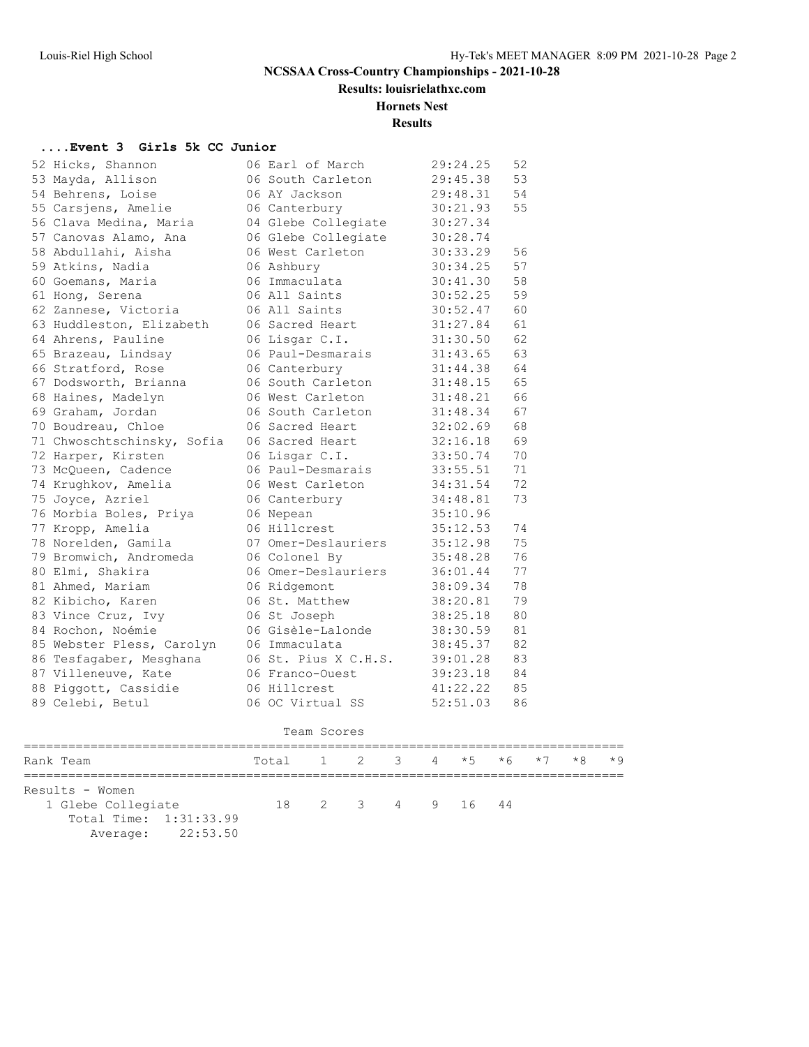**Results: louisrielathxc.com**

#### **Hornets Nest**

#### **Results**

#### **....Event 3 Girls 5k CC Junior**

| 52 Hicks, Shannon          | 06 Earl of March     | 29:24.25 | 52 |
|----------------------------|----------------------|----------|----|
| 53 Mayda, Allison          | 06 South Carleton    | 29:45.38 | 53 |
| 54 Behrens, Loise          | 06 AY Jackson        | 29:48.31 | 54 |
| 55 Carsjens, Amelie        | 06 Canterbury        | 30:21.93 | 55 |
| 56 Clava Medina, Maria     | 04 Glebe Collegiate  | 30:27.34 |    |
| 57 Canovas Alamo, Ana      | 06 Glebe Collegiate  | 30:28.74 |    |
| 58 Abdullahi, Aisha        | 06 West Carleton     | 30:33.29 | 56 |
| 59 Atkins, Nadia           | 06 Ashbury           | 30:34.25 | 57 |
| 60 Goemans, Maria          | 06 Immaculata        | 30:41.30 | 58 |
| 61 Hong, Serena            | 06 All Saints        | 30:52.25 | 59 |
| 62 Zannese, Victoria       | 06 All Saints        | 30:52.47 | 60 |
| 63 Huddleston, Elizabeth   | 06 Sacred Heart      | 31:27.84 | 61 |
| 64 Ahrens, Pauline         | 06 Lisgar C.I.       | 31:30.50 | 62 |
| 65 Brazeau, Lindsay        | 06 Paul-Desmarais    | 31:43.65 | 63 |
| 66 Stratford, Rose         | 06 Canterbury        | 31:44.38 | 64 |
| 67 Dodsworth, Brianna      | 06 South Carleton    | 31:48.15 | 65 |
| 68 Haines, Madelyn         | 06 West Carleton     | 31:48.21 | 66 |
| 69 Graham, Jordan          | 06 South Carleton    | 31:48.34 | 67 |
| 70 Boudreau, Chloe         | 06 Sacred Heart      | 32:02.69 | 68 |
| 71 Chwoschtschinsky, Sofia | 06 Sacred Heart      | 32:16.18 | 69 |
| 72 Harper, Kirsten         | 06 Lisgar C.I.       | 33:50.74 | 70 |
| 73 McQueen, Cadence        | 06 Paul-Desmarais    | 33:55.51 | 71 |
| 74 Krughkov, Amelia        | 06 West Carleton     | 34:31.54 | 72 |
| 75 Joyce, Azriel           | 06 Canterbury        | 34:48.81 | 73 |
| 76 Morbia Boles, Priya     | 06 Nepean            | 35:10.96 |    |
| 77 Kropp, Amelia           | 06 Hillcrest         | 35:12.53 | 74 |
| 78 Norelden, Gamila        | 07 Omer-Deslauriers  | 35:12.98 | 75 |
| 79 Bromwich, Andromeda     | 06 Colonel By        | 35:48.28 | 76 |
| 80 Elmi, Shakira           | 06 Omer-Deslauriers  | 36:01.44 | 77 |
| 81 Ahmed, Mariam           | 06 Ridgemont         | 38:09.34 | 78 |
| 82 Kibicho, Karen          | 06 St. Matthew       | 38:20.81 | 79 |
| 83 Vince Cruz, Ivy         | 06 St Joseph         | 38:25.18 | 80 |
| 84 Rochon, Noémie          | 06 Gisèle-Lalonde    | 38:30.59 | 81 |
| 85 Webster Pless, Carolyn  | 06 Immaculata        | 38:45.37 | 82 |
| 86 Tesfagaber, Mesghana    | 06 St. Pius X C.H.S. | 39:01.28 | 83 |
| 87 Villeneuve, Kate        | 06 Franco-Ouest      | 39:23.18 | 84 |
| 88 Piggott, Cassidie       | 06 Hillcrest         | 41:22.22 | 85 |
| 89 Celebi, Betul           | 06 OC Virtual SS     | 52:51.03 | 86 |
|                            |                      |          |    |

|                                              |                              | Team Scores |                        |  |  |  |  |
|----------------------------------------------|------------------------------|-------------|------------------------|--|--|--|--|
| Rank Team                                    | Total 1 2 3 4 *5 *6 *7 *8 *9 |             |                        |  |  |  |  |
| Results - Women                              |                              |             |                        |  |  |  |  |
| 1 Glebe Collegiate<br>Total Time: 1:31:33.99 |                              |             | 18  2  3  4  9  16  44 |  |  |  |  |
| Average: 22:53.50                            |                              |             |                        |  |  |  |  |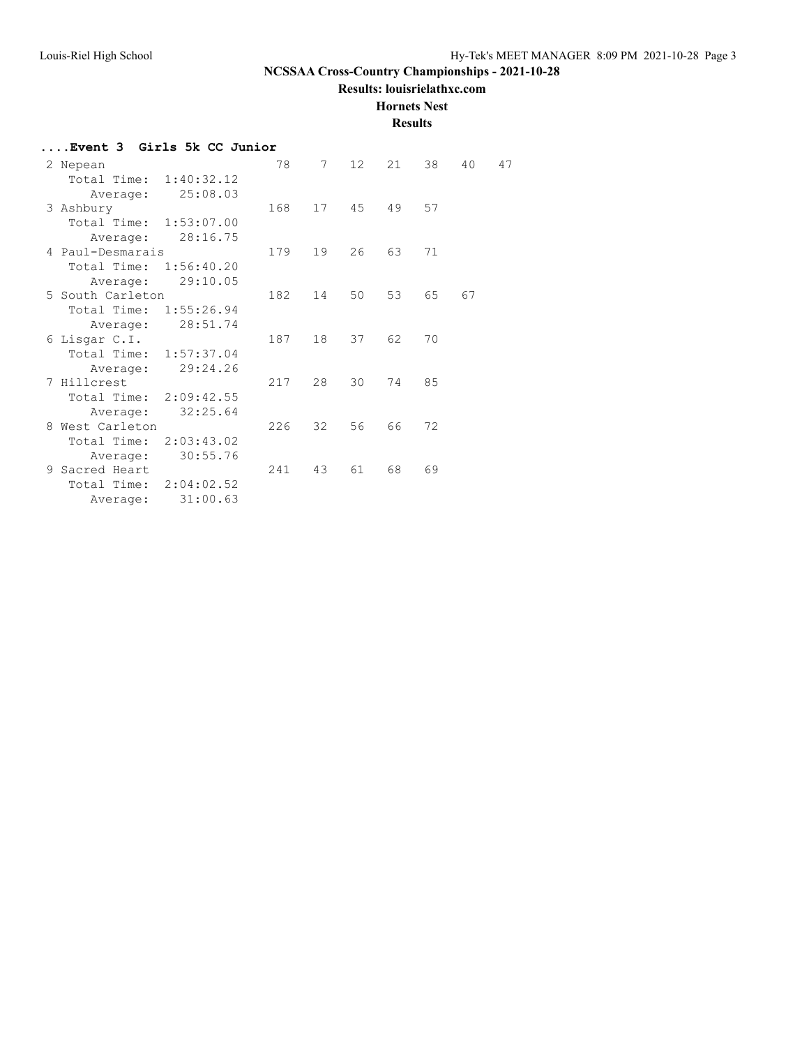**Results: louisrielathxc.com**

**Hornets Nest**

| Event 3 Girls 5k CC Junior |     |    |    |    |    |    |    |
|----------------------------|-----|----|----|----|----|----|----|
| 2 Nepean                   | 78  | 7  | 12 | 21 | 38 | 40 | 47 |
| Total Time: 1:40:32.12     |     |    |    |    |    |    |    |
| 25:08.03<br>Average:       |     |    |    |    |    |    |    |
| 3 Ashbury                  | 168 | 17 | 45 | 49 | 57 |    |    |
| Total Time: 1:53:07.00     |     |    |    |    |    |    |    |
| 28:16.75<br>Average:       |     |    |    |    |    |    |    |
| 4 Paul-Desmarais           | 179 | 19 | 26 | 63 | 71 |    |    |
| Total Time:<br>1:56:40.20  |     |    |    |    |    |    |    |
| 29:10.05<br>Average:       |     |    |    |    |    |    |    |
| 5 South Carleton           | 182 | 14 | 50 | 53 | 65 | 67 |    |
| Total Time: 1:55:26.94     |     |    |    |    |    |    |    |
| 28:51.74<br>Average:       |     |    |    |    |    |    |    |
| 6 Lisgar C.I.              | 187 | 18 | 37 | 62 | 70 |    |    |
| Total Time: 1:57:37.04     |     |    |    |    |    |    |    |
| 29:24.26<br>Average:       |     |    |    |    |    |    |    |
| 7 Hillcrest                | 217 | 28 | 30 | 74 | 85 |    |    |
| Total Time: 2:09:42.55     |     |    |    |    |    |    |    |
| 32:25.64<br>Average:       |     |    |    |    |    |    |    |
| 8 West Carleton            | 226 | 32 | 56 | 66 | 72 |    |    |
| Total Time: 2:03:43.02     |     |    |    |    |    |    |    |
| 30:55.76<br>Average:       |     |    |    |    |    |    |    |
| 9 Sacred Heart             | 241 | 43 | 61 | 68 | 69 |    |    |
| Total Time: 2:04:02.52     |     |    |    |    |    |    |    |
| 31:00.63<br>Average:       |     |    |    |    |    |    |    |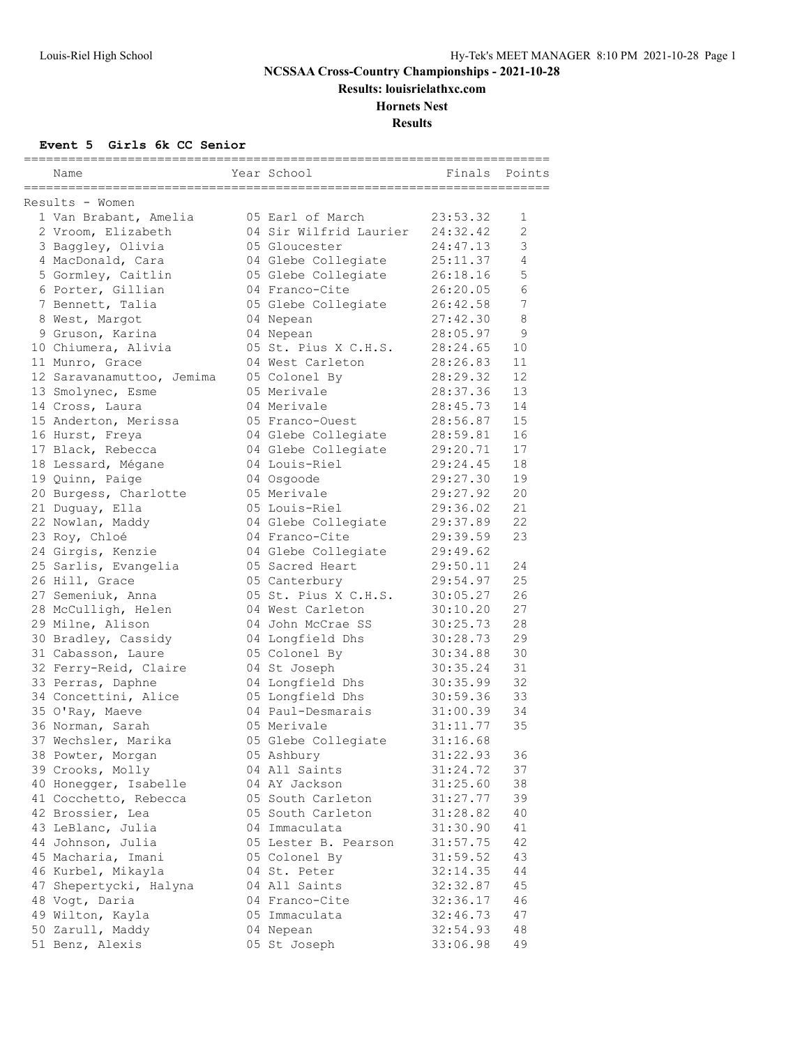**Results: louisrielathxc.com**

# **Hornets Nest**

**Results**

#### **Event 5 Girls 6k CC Senior**

| Name                      | Year School            | ______________________<br>Finals | Points                |
|---------------------------|------------------------|----------------------------------|-----------------------|
|                           |                        |                                  |                       |
| Results - Women           |                        |                                  |                       |
| 1 Van Brabant, Amelia     | 05 Earl of March       | 23:53.32                         | 1                     |
| 2 Vroom, Elizabeth        | 04 Sir Wilfrid Laurier | 24:32.42                         | $\mathbf{2}^{\prime}$ |
| 3 Baggley, Olivia         | 05 Gloucester          | 24:47.13                         | 3                     |
| 4 MacDonald, Cara         | 04 Glebe Collegiate    | 25:11.37                         | 4                     |
| 5 Gormley, Caitlin        | 05 Glebe Collegiate    | 26:18.16                         | 5                     |
| 6 Porter, Gillian         | 04 Franco-Cite         | 26:20.05                         | 6                     |
| 7 Bennett, Talia          | 05 Glebe Collegiate    | 26:42.58                         | 7                     |
| 8 West, Margot            | 04 Nepean              | 27:42.30                         | 8                     |
| 9 Gruson, Karina          | 04 Nepean              | 28:05.97                         | 9                     |
| 10 Chiumera, Alivia       | 05 St. Pius X C.H.S.   | 28:24.65                         | 10                    |
| 11 Munro, Grace           | 04 West Carleton       | 28:26.83                         | 11                    |
| 12 Saravanamuttoo, Jemima | 05 Colonel By          | 28:29.32                         | 12                    |
| 13 Smolynec, Esme         | 05 Merivale            | 28:37.36                         | 13                    |
| 14 Cross, Laura           | 04 Merivale            | 28:45.73                         | 14                    |
| 15 Anderton, Merissa      | 05 Franco-Ouest        | 28:56.87                         | 15                    |
| 16 Hurst, Freya           | 04 Glebe Collegiate    | 28:59.81                         | 16                    |
| 17 Black, Rebecca         | 04 Glebe Collegiate    | 29:20.71                         | 17                    |
| 18 Lessard, Mégane        | 04 Louis-Riel          | 29:24.45                         | 18                    |
| 19 Quinn, Paige           | 04 Osgoode             | 29:27.30                         | 19                    |
| 20 Burgess, Charlotte     | 05 Merivale            | 29:27.92                         | 20                    |
| 21 Duguay, Ella           | 05 Louis-Riel          | 29:36.02                         | 21                    |
| 22 Nowlan, Maddy          | 04 Glebe Collegiate    | 29:37.89                         | 22                    |
| 23 Roy, Chloé             | 04 Franco-Cite         | 29:39.59                         | 23                    |
| 24 Girgis, Kenzie         | 04 Glebe Collegiate    | 29:49.62                         |                       |
| 25 Sarlis, Evangelia      | 05 Sacred Heart        | 29:50.11                         | 24                    |
| 26 Hill, Grace            | 05 Canterbury          | 29:54.97                         | 25                    |
| 27 Semeniuk, Anna         | 05 St. Pius X C.H.S.   | 30:05.27                         | 26                    |
| 28 McCulligh, Helen       | 04 West Carleton       | 30:10.20                         | 27                    |
| 29 Milne, Alison          | 04 John McCrae SS      | 30:25.73                         | 28                    |
| 30 Bradley, Cassidy       | 04 Longfield Dhs       | 30:28.73                         | 29                    |
| 31 Cabasson, Laure        | 05 Colonel By          | 30:34.88                         | 30                    |
| 32 Ferry-Reid, Claire     | 04 St Joseph           | 30:35.24                         | 31                    |
| 33 Perras, Daphne         | 04 Longfield Dhs       | 30:35.99                         | 32                    |
| 34 Concettini, Alice      | 05 Longfield Dhs       | 30:59.36                         | 33                    |
| 35 O'Ray, Maeve           | 04 Paul-Desmarais      | 31:00.39                         | 34                    |
| 36 Norman, Sarah          | 05 Merivale            | 31:11.77                         | 35                    |
| 37 Wechsler, Marika       | 05 Glebe Collegiate    | 31:16.68                         |                       |
| 38 Powter, Morgan         | 05 Ashbury             | 31:22.93                         | 36                    |
| 39 Crooks, Molly          | 04 All Saints          | 31:24.72                         | 37                    |
| 40 Honegger, Isabelle     | 04 AY Jackson          | 31:25.60                         | 38                    |
| 41 Cocchetto, Rebecca     | 05 South Carleton      | 31:27.77                         | 39                    |
| 42 Brossier, Lea          | 05 South Carleton      | 31:28.82                         | 40                    |
| 43 LeBlanc, Julia         | 04 Immaculata          | 31:30.90                         | 41                    |
| 44 Johnson, Julia         | 05 Lester B. Pearson   | 31:57.75                         | 42                    |
| 45 Macharia, Imani        | 05 Colonel By          | 31:59.52                         | 43                    |
| 46 Kurbel, Mikayla        | 04 St. Peter           | 32:14.35                         | 44                    |
| 47 Shepertycki, Halyna    | 04 All Saints          | 32:32.87                         | 45                    |
| 48 Vogt, Daria            | 04 Franco-Cite         | 32:36.17                         | 46                    |
| 49 Wilton, Kayla          | 05 Immaculata          | 32:46.73                         | 47                    |
| 50 Zarull, Maddy          | 04 Nepean              | 32:54.93                         | 48                    |
| 51 Benz, Alexis           | 05 St Joseph           | 33:06.98                         | 49                    |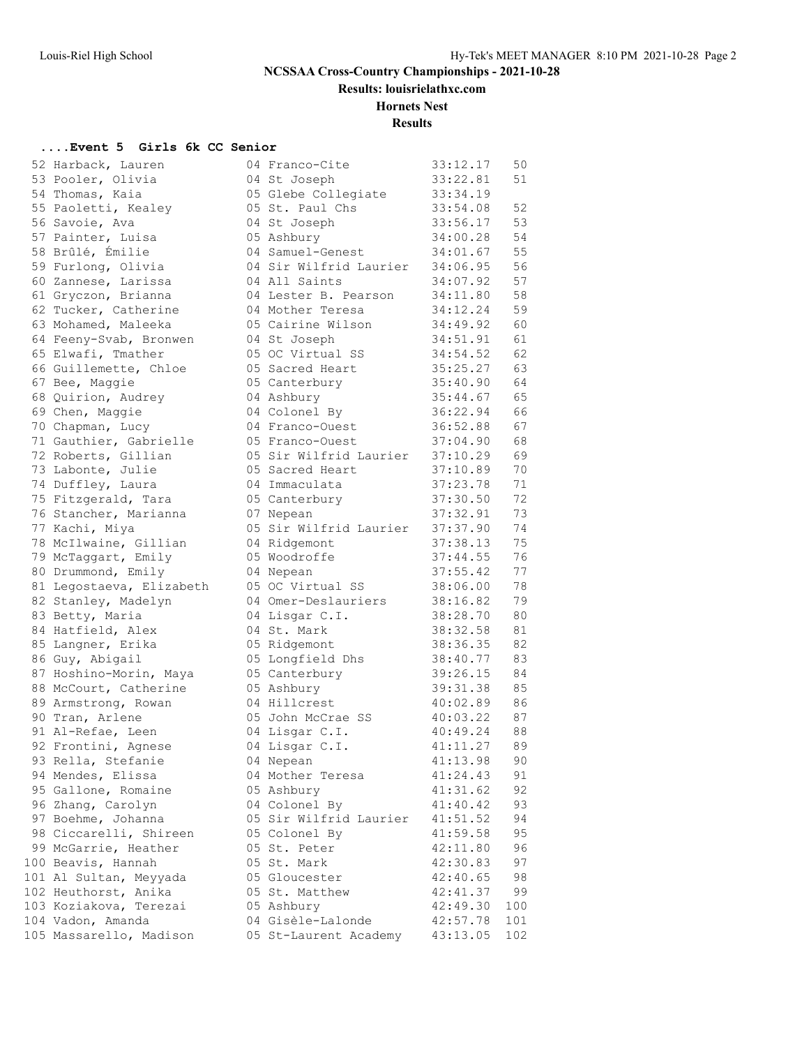**Results: louisrielathxc.com**

#### **Hornets Nest**

#### **Results**

# **....Event 5 Girls 6k CC Senior**

| 52 | Harback, Lauren                   |
|----|-----------------------------------|
| 53 | Pooler, Olivia                    |
| 54 | Thomas, Kaia                      |
|    | 55 Paoletti, Kealey               |
| 56 | Savoie, Ava                       |
| 57 | Painter, Luisa                    |
| 58 | Brûlé, Émilie                     |
| 59 | Furlong, Olivia                   |
| 60 | Zannese, Larissa                  |
| 61 | Gryczon, Brianna                  |
| 62 | Tucker, Catherine                 |
| 63 | Mohamed, Maleeka                  |
| 64 | Feeny-Svab, Bronwen               |
| 65 | Elwafi, Tmather                   |
| 66 | Guillemette, Chloe                |
| 67 | Bee, Maggie                       |
| 68 | Quirion, Audrey                   |
| 69 | Chen, Maggie                      |
| 70 | Chapman, Lucy                     |
| 71 | Gauthier, Gabrielle               |
| 72 | Roberts, Gillian                  |
| 73 |                                   |
|    | Labonte, Julie                    |
| 74 | Duffley, Laura                    |
| 75 | Fitzgerald, Tara                  |
| 76 | Stancher, Marianna                |
| 77 | Kachi, Miya                       |
| 78 | McIlwaine, Gillian                |
| 79 | McTaggart, Emily                  |
| 80 | Drummond, Emily                   |
| 81 | Legostaeva, Elizabeth             |
| 82 | Stanley, Madelyn                  |
| 83 | Betty, Maria                      |
| 84 | Hatfield, Alex                    |
| 85 | Langner, Erika                    |
| 86 | Guy, Abigail                      |
| 87 | Hoshino-Morin, Maya               |
| 88 | McCourt, Catherine                |
| 89 | Armstrong, Rowan                  |
|    | 90 Tran, Arlene                   |
|    | 91 Al-Refae, Leen                 |
| 92 | Frontini, Agnese                  |
| 93 | Rella, Stefanie<br>Mendes, Elissa |
| 94 |                                   |
| 95 | Gallone, Romaine                  |
|    | 96 Zhang, Carolyn                 |
| 97 | Boehme, Johanna                   |
| 98 | Ciccarelli, Shireen               |
| 99 | McGarrie, Heather                 |
| 00 | Beavis, Hannah                    |
| 01 | Al Sultan, Meyyada                |
| 02 | Heuthorst, Anika                  |
| 03 | Koziakova, Terezai                |
| 04 | Vadon, Amanda                     |
| 05 | Massarello, Madison               |
|    |                                   |

| 52 Harback, Lauren       | 04 Franco-Cite         | 33:12.17 | 50  |
|--------------------------|------------------------|----------|-----|
| 53 Pooler, Olivia        | 04 St Joseph           | 33:22.81 | 51  |
| 54 Thomas, Kaia          | 05 Glebe Collegiate    | 33:34.19 |     |
| 55 Paoletti, Kealey      | 05 St. Paul Chs        | 33:54.08 | 52  |
| 56 Savoie, Ava           | 04 St Joseph           | 33:56.17 | 53  |
| 57 Painter, Luisa        | 05 Ashbury             | 34:00.28 | 54  |
| 58 Brûlé, Émilie         | 04 Samuel-Genest       | 34:01.67 | 55  |
| 59 Furlong, Olivia       | 04 Sir Wilfrid Laurier | 34:06.95 | 56  |
| 60 Zannese, Larissa      | 04 All Saints          | 34:07.92 | 57  |
| 61 Gryczon, Brianna      | 04 Lester B. Pearson   | 34:11.80 | 58  |
| 62 Tucker, Catherine     | 04 Mother Teresa       | 34:12.24 | 59  |
| 63 Mohamed, Maleeka      | 05 Cairine Wilson      | 34:49.92 | 60  |
| 64 Feeny-Svab, Bronwen   | 04 St Joseph           | 34:51.91 | 61  |
| 65 Elwafi, Tmather       | 05 OC Virtual SS       | 34:54.52 | 62  |
| 66 Guillemette, Chloe    | 05 Sacred Heart        | 35:25.27 | 63  |
| 67 Bee, Maggie           | 05 Canterbury          | 35:40.90 | 64  |
| 68 Quirion, Audrey       | 04 Ashbury             | 35:44.67 | 65  |
| 69 Chen, Maggie          | 04 Colonel By          | 36:22.94 | 66  |
| 70 Chapman, Lucy         | 04 Franco-Ouest        | 36:52.88 | 67  |
| 71 Gauthier, Gabrielle   | 05 Franco-Ouest        | 37:04.90 | 68  |
| 72 Roberts, Gillian      | 05 Sir Wilfrid Laurier | 37:10.29 | 69  |
| 73 Labonte, Julie        | 05 Sacred Heart        | 37:10.89 | 70  |
| 74 Duffley, Laura        | 04 Immaculata          | 37:23.78 | 71  |
| 75 Fitzgerald, Tara      | 05 Canterbury          | 37:30.50 | 72  |
| 76 Stancher, Marianna    | 07 Nepean              | 37:32.91 | 73  |
| 77 Kachi, Miya           | 05 Sir Wilfrid Laurier | 37:37.90 | 74  |
| 78 McIlwaine, Gillian    | 04 Ridgemont           | 37:38.13 | 75  |
| 79 McTaggart, Emily      | 05 Woodroffe           | 37:44.55 | 76  |
| 80 Drummond, Emily       | 04 Nepean              | 37:55.42 | 77  |
| 81 Legostaeva, Elizabeth | 05 OC Virtual SS       | 38:06.00 | 78  |
| 82 Stanley, Madelyn      | 04 Omer-Deslauriers    | 38:16.82 | 79  |
| 83 Betty, Maria          | 04 Lisgar C.I.         | 38:28.70 | 80  |
| 84 Hatfield, Alex        | 04 St. Mark            | 38:32.58 | 81  |
| 85 Langner, Erika        | 05 Ridgemont           | 38:36.35 | 82  |
| 86 Guy, Abigail          | 05 Longfield Dhs       | 38:40.77 | 83  |
| 87 Hoshino-Morin, Maya   | 05 Canterbury          | 39:26.15 | 84  |
| 88 McCourt, Catherine    | 05 Ashbury             | 39:31.38 | 85  |
| 89 Armstrong, Rowan      | 04 Hillcrest           | 40:02.89 | 86  |
| 90 Tran, Arlene          | 05 John McCrae SS      | 40:03.22 | 87  |
| 91 Al-Refae, Leen        | 04 Lisgar C.I.         | 40:49.24 | 88  |
| 92 Frontini, Agnese      | 04 Lisgar C.I.         | 41:11.27 | 89  |
| 93 Rella, Stefanie       | 04 Nepean              | 41:13.98 | 90  |
| 94 Mendes, Elissa        | 04 Mother Teresa       | 41:24.43 | 91  |
| 95 Gallone, Romaine      | 05 Ashbury             | 41:31.62 | 92  |
| 96 Zhang, Carolyn        | 04 Colonel By          | 41:40.42 | 93  |
| 97 Boehme, Johanna       | 05 Sir Wilfrid Laurier | 41:51.52 | 94  |
| 98 Ciccarelli, Shireen   | 05 Colonel By          | 41:59.58 | 95  |
| 99 McGarrie, Heather     | 05 St. Peter           | 42:11.80 | 96  |
| 100 Beavis, Hannah       | 05 St. Mark            | 42:30.83 | 97  |
| 101 Al Sultan, Meyyada   | 05 Gloucester          | 42:40.65 | 98  |
| 102 Heuthorst, Anika     | 05 St. Matthew         | 42:41.37 | 99  |
| 103 Koziakova, Terezai   | 05 Ashbury             | 42:49.30 | 100 |
| 104 Vadon, Amanda        | 04 Gisèle-Lalonde      | 42:57.78 | 101 |
| 105 Massarello, Madison  | 05 St-Laurent Academy  | 43:13.05 | 102 |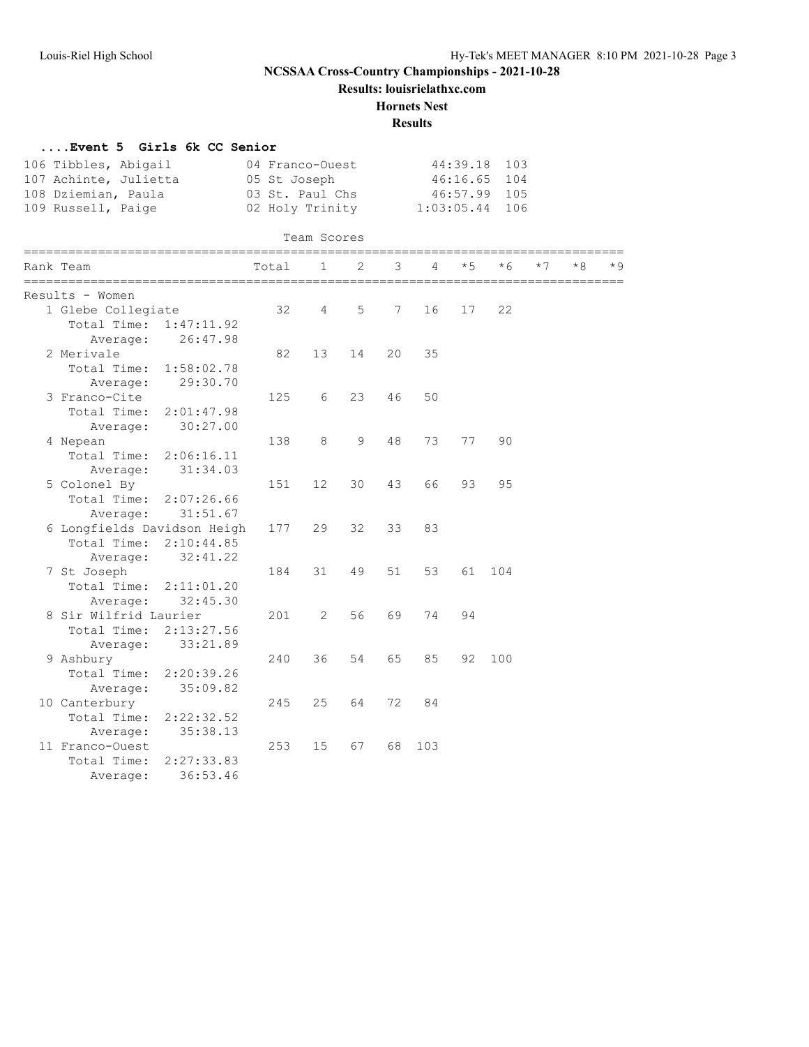**Results: louisrielathxc.com**

#### **Hornets Nest**

| Event 5 Girls 6k CC Senior  |                 |                                 |                |    |     |            |      |            |    |      |
|-----------------------------|-----------------|---------------------------------|----------------|----|-----|------------|------|------------|----|------|
| 106 Tibbles, Abigail        |                 | 04 Franco-Ouest<br>05 St Joseph |                |    |     | 44:39.18   |      | 103<br>104 |    |      |
| 107 Achinte, Julietta       |                 |                                 |                |    |     | 46:16.65   |      |            |    |      |
| 108 Dziemian, Paula         | 03 St. Paul Chs |                                 |                |    |     | 46:57.99   | 105  |            |    |      |
| 109 Russell, Paige          | 02 Holy Trinity |                                 |                |    |     | 1:03:05.44 | 106  |            |    |      |
|                             |                 |                                 |                |    |     |            |      |            |    |      |
|                             |                 | Team Scores                     |                |    |     |            |      |            |    |      |
| Rank Team                   | Total           | $\mathbf{1}$                    | $\overline{2}$ | 3  | 4   | $*5$       | $*6$ | $*7$       | *8 | $*9$ |
| Results - Women             |                 |                                 |                |    |     |            |      |            |    |      |
| 1 Glebe Collegiate          | 32              | 4                               | 5              | 7  | 16  | 17         | 22   |            |    |      |
| Total Time:<br>1:47:11.92   |                 |                                 |                |    |     |            |      |            |    |      |
| 26:47.98<br>Average:        |                 |                                 |                |    |     |            |      |            |    |      |
| 2 Merivale                  | 82              | 13                              | 14             | 20 | 35  |            |      |            |    |      |
| Total Time: 1:58:02.78      |                 |                                 |                |    |     |            |      |            |    |      |
| 29:30.70<br>Average:        |                 |                                 |                |    |     |            |      |            |    |      |
| 3 Franco-Cite               | 125             | 6                               | 23             | 46 | 50  |            |      |            |    |      |
| Total Time:<br>2:01:47.98   |                 |                                 |                |    |     |            |      |            |    |      |
| 30:27.00<br>Average:        |                 |                                 |                |    |     |            |      |            |    |      |
| 4 Nepean                    | 138             | 8                               | 9              | 48 | 73  | 77         | 90   |            |    |      |
| Total Time:<br>2:06:16.11   |                 |                                 |                |    |     |            |      |            |    |      |
| 31:34.03<br>Average:        |                 |                                 |                |    |     |            |      |            |    |      |
| 5 Colonel By                | 151             | $12 \overline{ }$               | 30             | 43 | 66  | 93         | 95   |            |    |      |
| Total Time:<br>2:07:26.66   |                 |                                 |                |    |     |            |      |            |    |      |
| Average: 31:51.67           |                 |                                 |                |    |     |            |      |            |    |      |
| 6 Longfields Davidson Heigh | 177             | 29                              | 32             | 33 | 83  |            |      |            |    |      |
| Total Time:<br>2:10:44.85   |                 |                                 |                |    |     |            |      |            |    |      |
| 32:41.22<br>Average:        |                 |                                 |                |    |     |            |      |            |    |      |
| 7 St Joseph                 | 184             | 31                              | 49             | 51 | 53  | 61         | 104  |            |    |      |
| Total Time:<br>2:11:01.20   |                 |                                 |                |    |     |            |      |            |    |      |
| 32:45.30<br>Average:        |                 |                                 |                |    |     |            |      |            |    |      |
| 8 Sir Wilfrid Laurier       | 201             | 2                               | 56             | 69 | 74  | 94         |      |            |    |      |
| Total Time:<br>2:13:27.56   |                 |                                 |                |    |     |            |      |            |    |      |
| 33:21.89<br>Average:        |                 |                                 |                |    |     |            |      |            |    |      |
| 9 Ashbury                   | 240             | 36                              | 54             | 65 | 85  | 92         | 100  |            |    |      |
| Total Time:<br>2:20:39.26   |                 |                                 |                |    |     |            |      |            |    |      |
| 35:09.82<br>Average:        |                 |                                 |                |    |     |            |      |            |    |      |
| 10 Canterbury               | 245             | 25                              | 64             | 72 | 84  |            |      |            |    |      |
| Total Time:<br>2:22:32.52   |                 |                                 |                |    |     |            |      |            |    |      |
| 35:38.13<br>Average:        |                 |                                 |                |    |     |            |      |            |    |      |
| 11 Franco-Ouest             | 253             | 15                              | 67             | 68 | 103 |            |      |            |    |      |
| Total Time:<br>2:27:33.83   |                 |                                 |                |    |     |            |      |            |    |      |
| 36:53.46<br>Average:        |                 |                                 |                |    |     |            |      |            |    |      |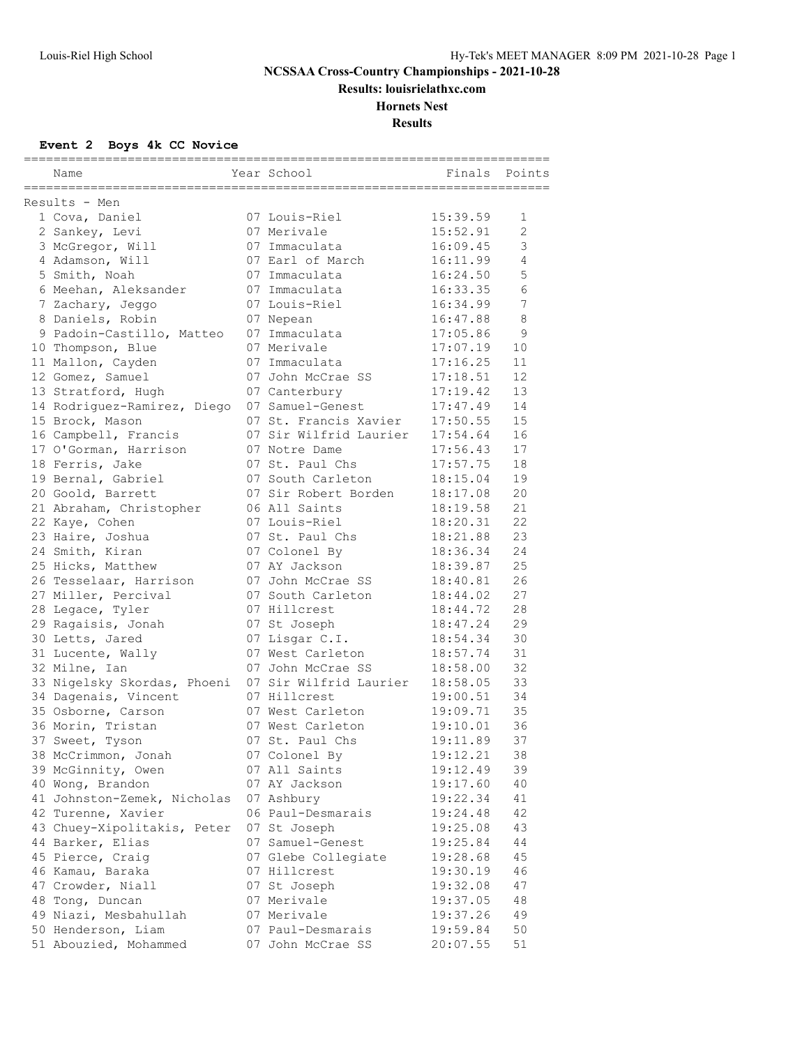**Results: louisrielathxc.com**

## **Hornets Nest**

**Results**

## **Event 2 Boys 4k CC Novice**

| Name                                   | Year School                         | Finals               | Points         |
|----------------------------------------|-------------------------------------|----------------------|----------------|
| Results - Men                          |                                     |                      |                |
| 1 Cova, Daniel                         | 07 Louis-Riel                       | 15:39.59             | $\mathbf{1}$   |
| 2 Sankey, Levi                         | 07 Merivale                         | 15:52.91             | $\overline{c}$ |
| 3 McGregor, Will                       | 07 Immaculata                       | 16:09.45             | 3              |
| 4 Adamson, Will                        | 07 Earl of March                    | 16:11.99             | $\overline{4}$ |
| 5 Smith, Noah                          | 07 Immaculata                       | 16:24.50             | 5              |
| 6 Meehan, Aleksander                   | 07 Immaculata                       | 16:33.35             | 6              |
| 7 Zachary, Jeggo                       | 07 Louis-Riel                       | 16:34.99             | 7              |
| 8 Daniels, Robin                       | 07 Nepean                           | 16:47.88             | 8              |
| 9 Padoin-Castillo, Matteo              | 07 Immaculata                       | 17:05.86             | 9              |
| 10 Thompson, Blue                      | 07 Merivale                         | 17:07.19             | 10             |
| 11 Mallon, Cayden                      | 07 Immaculata                       | 17:16.25             | 11             |
| 12 Gomez, Samuel                       | 07 John McCrae SS                   | 17:18.51             | 12             |
| 13 Stratford, Hugh                     | 07 Canterbury                       | 17:19.42             | 13             |
| 14 Rodriguez-Ramirez, Diego            | 07 Samuel-Genest                    | 17:47.49             | 14             |
| 15 Brock, Mason                        | 07 St. Francis Xavier               | 17:50.55             | 15             |
| 16 Campbell, Francis                   | 07 Sir Wilfrid Laurier              | 17:54.64             | 16             |
| 17 O'Gorman, Harrison                  | 07 Notre Dame                       | 17:56.43             | 17             |
| 18 Ferris, Jake                        | 07 St. Paul Chs                     | 17:57.75             | 18             |
| 19 Bernal, Gabriel                     | 07 South Carleton                   | 18:15.04             | 19             |
| 20 Goold, Barrett                      | 07 Sir Robert Borden                | 18:17.08             | 20             |
| 21 Abraham, Christopher                | 06 All Saints                       | 18:19.58             | 21             |
| 22 Kaye, Cohen                         | 07 Louis-Riel                       | 18:20.31             | 22             |
| 23 Haire, Joshua                       | 07 St. Paul Chs                     | 18:21.88             | 23             |
| 24 Smith, Kiran                        | 07 Colonel By                       | 18:36.34             | 24             |
| 25 Hicks, Matthew                      | 07 AY Jackson                       | 18:39.87             | 25             |
| 26 Tesselaar, Harrison                 | 07 John McCrae SS                   | 18:40.81             | 26             |
| 27 Miller, Percival                    | 07 South Carleton                   | 18:44.02             | 27             |
| 28 Legace, Tyler                       | 07 Hillcrest                        | 18:44.72             | 28             |
| 29 Ragaisis, Jonah                     | 07 St Joseph                        | 18:47.24             | 29             |
| 30 Letts, Jared                        | 07 Lisgar C.I.                      | 18:54.34             | 30             |
| 31 Lucente, Wally                      | 07 West Carleton                    | 18:57.74             | 31             |
| 32 Milne, Ian                          | 07 John McCrae SS                   | 18:58.00             | 32             |
| 33 Nigelsky Skordas, Phoeni            | 07 Sir Wilfrid Laurier              | 18:58.05             | 33             |
| 34 Dagenais, Vincent                   | 07 Hillcrest                        | 19:00.51             | 34             |
| 35 Osborne, Carson                     | 07 West Carleton                    | 19:09.71             | 35             |
| 36 Morin, Tristan                      | 07 West Carleton<br>07 St. Paul Chs | 19:10.01             | 36<br>37       |
| 37 Sweet, Tyson                        |                                     | 19:11.89             |                |
| 38 McCrimmon, Jonah                    | 07 Colonel By<br>07 All Saints      | 19:12.21<br>19:12.49 | 38<br>39       |
| 39 McGinnity, Owen<br>40 Wong, Brandon | 07 AY Jackson                       | 19:17.60             | 40             |
| 41 Johnston-Zemek, Nicholas            | 07 Ashbury                          | 19:22.34             | 41             |
| 42 Turenne, Xavier                     | 06 Paul-Desmarais                   | 19:24.48             | 42             |
| 43 Chuey-Xipolitakis, Peter            | 07 St Joseph                        | 19:25.08             | 43             |
| 44 Barker, Elias                       | 07 Samuel-Genest                    | 19:25.84             | 44             |
| 45 Pierce, Craig                       | 07 Glebe Collegiate                 | 19:28.68             | 45             |
| 46 Kamau, Baraka                       | 07 Hillcrest                        | 19:30.19             | 46             |
| 47 Crowder, Niall                      | 07 St Joseph                        | 19:32.08             | 47             |
| 48 Tong, Duncan                        | 07 Merivale                         | 19:37.05             | 48             |
| 49 Niazi, Mesbahullah                  | 07 Merivale                         | 19:37.26             | 49             |
| 50 Henderson, Liam                     | 07 Paul-Desmarais                   | 19:59.84             | 50             |
| 51 Abouzied, Mohammed                  | 07 John McCrae SS                   | 20:07.55             | 51             |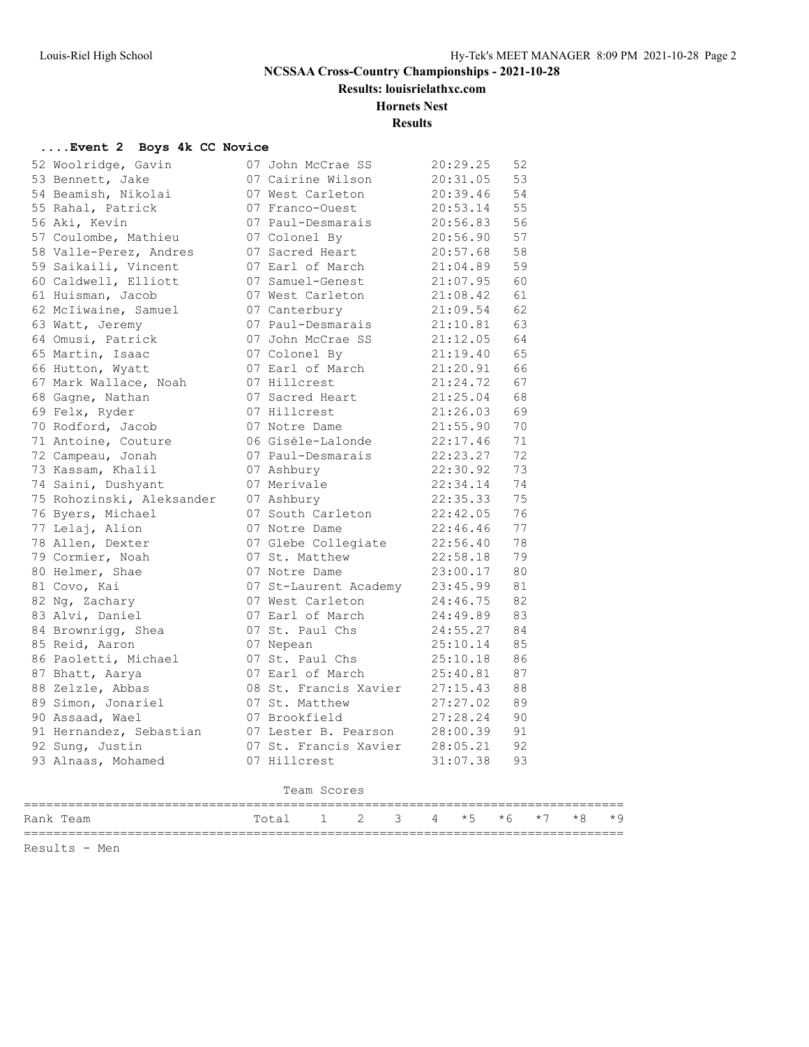**Results: louisrielathxc.com**

## **Hornets Nest**

**Results**

#### **....Event 2 Boys 4k CC Novice**

| 53 Wentring, Gavin (* John McCree SS 20:23, 53<br>Salemontt, Jakob (* John McCree Bison (* 2013)<br>163 Bennett, Jakob (* 17 Vest Carleton 2013), 46 53 Alahal, Patrick (* 17 Vest Carleton 2015), 46 5<br>54 Bennish, Nikolai (* 17 |  |             |  |  |  |  |
|--------------------------------------------------------------------------------------------------------------------------------------------------------------------------------------------------------------------------------------|--|-------------|--|--|--|--|
|                                                                                                                                                                                                                                      |  |             |  |  |  |  |
|                                                                                                                                                                                                                                      |  |             |  |  |  |  |
|                                                                                                                                                                                                                                      |  |             |  |  |  |  |
|                                                                                                                                                                                                                                      |  |             |  |  |  |  |
|                                                                                                                                                                                                                                      |  |             |  |  |  |  |
|                                                                                                                                                                                                                                      |  |             |  |  |  |  |
|                                                                                                                                                                                                                                      |  |             |  |  |  |  |
|                                                                                                                                                                                                                                      |  |             |  |  |  |  |
|                                                                                                                                                                                                                                      |  |             |  |  |  |  |
|                                                                                                                                                                                                                                      |  |             |  |  |  |  |
|                                                                                                                                                                                                                                      |  |             |  |  |  |  |
|                                                                                                                                                                                                                                      |  |             |  |  |  |  |
|                                                                                                                                                                                                                                      |  |             |  |  |  |  |
|                                                                                                                                                                                                                                      |  |             |  |  |  |  |
|                                                                                                                                                                                                                                      |  |             |  |  |  |  |
|                                                                                                                                                                                                                                      |  |             |  |  |  |  |
|                                                                                                                                                                                                                                      |  |             |  |  |  |  |
|                                                                                                                                                                                                                                      |  |             |  |  |  |  |
|                                                                                                                                                                                                                                      |  |             |  |  |  |  |
|                                                                                                                                                                                                                                      |  |             |  |  |  |  |
|                                                                                                                                                                                                                                      |  |             |  |  |  |  |
|                                                                                                                                                                                                                                      |  |             |  |  |  |  |
|                                                                                                                                                                                                                                      |  |             |  |  |  |  |
|                                                                                                                                                                                                                                      |  |             |  |  |  |  |
|                                                                                                                                                                                                                                      |  |             |  |  |  |  |
|                                                                                                                                                                                                                                      |  |             |  |  |  |  |
|                                                                                                                                                                                                                                      |  |             |  |  |  |  |
|                                                                                                                                                                                                                                      |  |             |  |  |  |  |
|                                                                                                                                                                                                                                      |  |             |  |  |  |  |
|                                                                                                                                                                                                                                      |  |             |  |  |  |  |
| 91 Hernandez, Sebastian and 17 Lester B. Pearson 28:00.39 91<br>92 Sung, Justin 07 St. Francis Xavier 28:05.21 92<br>93 Alnaas, Mohamed 07 Hillcrest 31:07.38 93                                                                     |  |             |  |  |  |  |
|                                                                                                                                                                                                                                      |  |             |  |  |  |  |
|                                                                                                                                                                                                                                      |  |             |  |  |  |  |
|                                                                                                                                                                                                                                      |  | Team Scores |  |  |  |  |
| Rank Team $\begin{array}{ccccccccccccc}\n\text{Rank Team} & \text{mean} & \text{Total} & 1 & 2 & 3 & 4 & *5 & *6 & *7 & *8 & *9 \\ \end{array}$                                                                                      |  |             |  |  |  |  |

Results - Men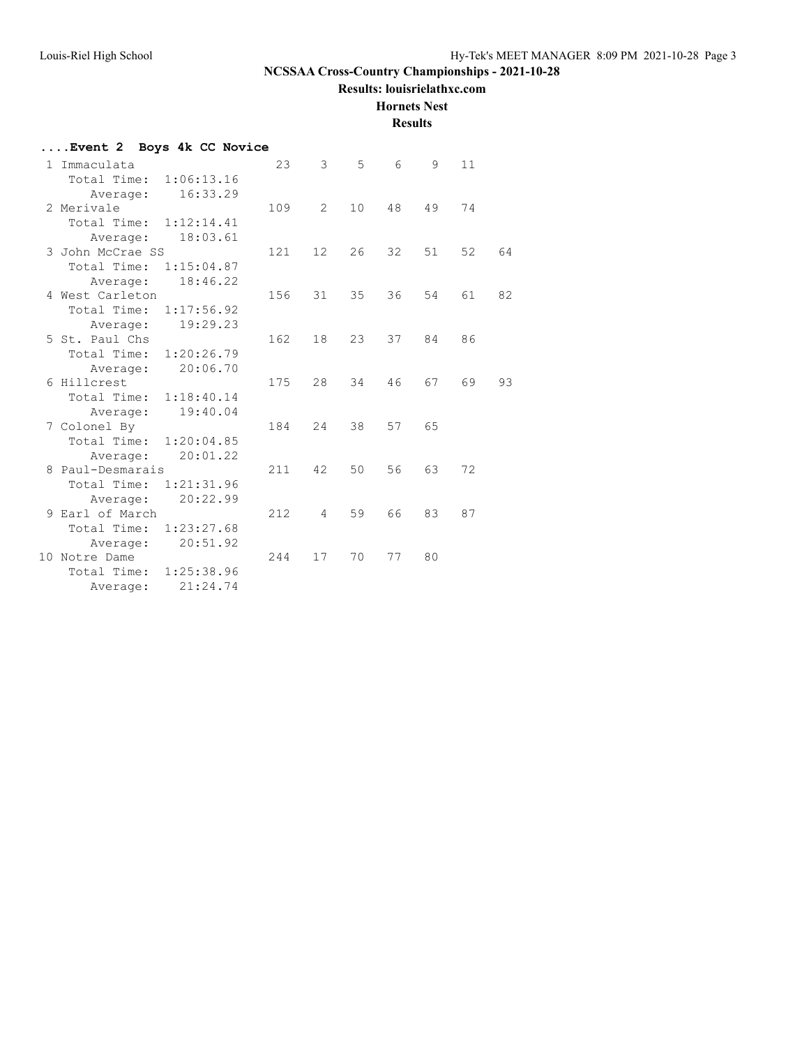**Results: louisrielathxc.com**

**Hornets Nest**

| Event 2 Boys 4k CC Novice |     |    |                 |        |    |    |    |  |  |  |
|---------------------------|-----|----|-----------------|--------|----|----|----|--|--|--|
| 1 Immaculata              | 23  | 3  | 5               | 6      | 9  | 11 |    |  |  |  |
| Total Time:<br>1:06:13.16 |     |    |                 |        |    |    |    |  |  |  |
| 16:33.29<br>Average:      |     |    |                 |        |    |    |    |  |  |  |
| 2 Merivale                | 109 | 2  | 10 <sup>°</sup> | 48     | 49 | 74 |    |  |  |  |
| Total Time: 1:12:14.41    |     |    |                 |        |    |    |    |  |  |  |
| 18:03.61<br>Average:      |     |    |                 |        |    |    |    |  |  |  |
| 3 John McCrae SS          | 121 | 12 | 26              | $32 -$ | 51 | 52 | 64 |  |  |  |
| Total Time:<br>1:15:04.87 |     |    |                 |        |    |    |    |  |  |  |
| 18:46.22<br>Average:      |     |    |                 |        |    |    |    |  |  |  |
| 4 West Carleton           | 156 | 31 | 35              | 36     | 54 | 61 | 82 |  |  |  |
| Total Time:<br>1:17:56.92 |     |    |                 |        |    |    |    |  |  |  |
| 19:29.23<br>Average:      |     |    |                 |        |    |    |    |  |  |  |
| 5 St. Paul Chs            | 162 | 18 | 23              | 37     | 84 | 86 |    |  |  |  |
| 1:20:26.79<br>Total Time: |     |    |                 |        |    |    |    |  |  |  |
| 20:06.70<br>Average:      |     |    |                 |        |    |    |    |  |  |  |
| 6 Hillcrest               | 175 | 28 | 34              | 46     | 67 | 69 | 93 |  |  |  |
| Total Time: 1:18:40.14    |     |    |                 |        |    |    |    |  |  |  |
| 19:40.04<br>Average:      |     |    |                 |        |    |    |    |  |  |  |
| 7 Colonel By              | 184 | 24 | 38              | 57     | 65 |    |    |  |  |  |
| Total Time: 1:20:04.85    |     |    |                 |        |    |    |    |  |  |  |
| 20:01.22<br>Average:      |     |    |                 |        |    |    |    |  |  |  |
| 8 Paul-Desmarais          | 211 | 42 | 50              | 56     | 63 | 72 |    |  |  |  |
| Total Time:<br>1:21:31.96 |     |    |                 |        |    |    |    |  |  |  |
| 20:22.99<br>Average:      |     |    |                 |        |    |    |    |  |  |  |
| 9 Earl of March           | 212 | 4  | 59              | 66     | 83 | 87 |    |  |  |  |
| Total Time: 1:23:27.68    |     |    |                 |        |    |    |    |  |  |  |
| 20:51.92<br>Average:      |     |    |                 |        |    |    |    |  |  |  |
| 10 Notre Dame             | 244 | 17 | 70              | 77     | 80 |    |    |  |  |  |
| Total Time:<br>1:25:38.96 |     |    |                 |        |    |    |    |  |  |  |
| 21:24.74<br>Average:      |     |    |                 |        |    |    |    |  |  |  |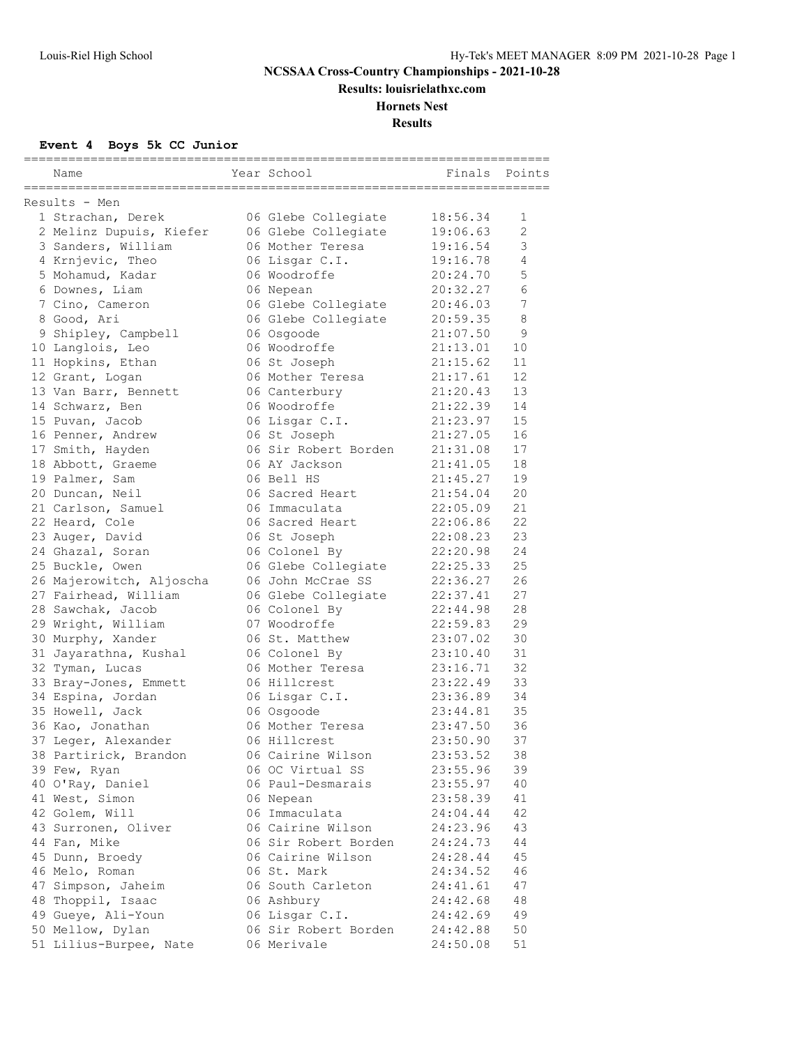**Results: louisrielathxc.com**

# **Hornets Nest**

**Results**

## **Event 4 Boys 5k CC Junior**

| Year School<br>Finals<br>Points<br>Name<br>Results - Men<br>1 Strachan, Derek<br>06 Glebe Collegiate<br>18:56.34<br>1<br>$\mathbf{2}$<br>06 Glebe Collegiate<br>19:06.63<br>2 Melinz Dupuis, Kiefer<br>3<br>3 Sanders, William<br>06 Mother Teresa<br>19:16.54<br>4 Krnjevic, Theo<br>19:16.78<br>4<br>06 Lisgar C.I.<br>5 Mohamud, Kadar<br>5<br>06 Woodroffe<br>20:24.70<br>6<br>6 Downes, Liam<br>06 Nepean<br>20:32.27<br>06 Glebe Collegiate<br>7<br>7 Cino, Cameron<br>20:46.03<br>$\,8\,$<br>8 Good, Ari<br>06 Glebe Collegiate<br>20:59.35<br>21:07.50<br>9<br>9 Shipley, Campbell<br>06 Osgoode<br>10 Langlois, Leo<br>06 Woodroffe<br>21:13.01<br>10<br>21:15.62<br>11<br>11 Hopkins, Ethan<br>06 St Joseph<br>12<br>12 Grant, Logan<br>06 Mother Teresa<br>21:17.61<br>13<br>13 Van Barr, Bennett<br>06 Canterbury<br>21:20.43<br>21:22.39<br>06 Woodroffe<br>14<br>14 Schwarz, Ben<br>21:23.97<br>06 Lisgar C.I.<br>15<br>15 Puvan, Jacob<br>16<br>16 Penner, Andrew<br>06 St Joseph<br>21:27.05<br>17 Smith, Hayden<br>06 Sir Robert Borden<br>21:31.08<br>17<br>18<br>18 Abbott, Graeme<br>06 AY Jackson<br>21:41.05<br>19<br>19 Palmer, Sam<br>06 Bell HS<br>21:45.27<br>20 Duncan, Neil<br>06 Sacred Heart<br>21:54.04<br>20<br>22:05.09<br>21 Carlson, Samuel<br>21<br>06 Immaculata<br>22<br>22 Heard, Cole<br>06 Sacred Heart<br>22:06.86<br>23<br>22:08.23<br>23 Auger, David<br>06 St Joseph<br>24 Ghazal, Soran<br>06 Colonel By<br>24<br>22:20.98<br>25<br>25 Buckle, Owen<br>06 Glebe Collegiate<br>22:25.33<br>26<br>26 Majerowitch, Aljoscha<br>06 John McCrae SS<br>22:36.27<br>27<br>27 Fairhead, William<br>06 Glebe Collegiate<br>22:37.41<br>28 Sawchak, Jacob<br>28<br>06 Colonel By<br>22:44.98<br>29<br>29 Wright, William<br>07 Woodroffe<br>22:59.83<br>30<br>30 Murphy, Xander<br>06 St. Matthew<br>23:07.02<br>31<br>31 Jayarathna, Kushal<br>06 Colonel By<br>23:10.40<br>32<br>23:16.71<br>32 Tyman, Lucas<br>06 Mother Teresa<br>23:22.49<br>33<br>06 Hillcrest<br>33 Bray-Jones, Emmett<br>23:36.89<br>34<br>34 Espina, Jordan<br>06 Lisgar C.I.<br>06 Osgoode<br>35<br>35 Howell, Jack<br>23:44.81<br>36<br>36 Kao, Jonathan<br>06 Mother Teresa<br>23:47.50<br>37<br>37 Leger, Alexander<br>06 Hillcrest<br>23:50.90<br>06 Cairine Wilson<br>23:53.52<br>38 Partirick, Brandon<br>38<br>06 OC Virtual SS<br>39 Few, Ryan<br>23:55.96<br>39<br>40 O'Ray, Daniel<br>06 Paul-Desmarais<br>23:55.97<br>40<br>41 West, Simon<br>06 Nepean<br>23:58.39<br>41<br>42 Golem, Will<br>06 Immaculata<br>24:04.44<br>42<br>43 Surronen, Oliver<br>06 Cairine Wilson<br>24:23.96<br>43<br>44 Fan, Mike<br>06 Sir Robert Borden<br>24:24.73<br>44<br>45 Dunn, Broedy<br>06 Cairine Wilson<br>24:28.44<br>45<br>46 Melo, Roman<br>06 St. Mark<br>24:34.52<br>46<br>47 Simpson, Jaheim<br>06 South Carleton<br>24:41.61<br>47<br>48 Thoppil, Isaac<br>06 Ashbury<br>24:42.68<br>48<br>49 Gueye, Ali-Youn<br>06 Lisgar C.I.<br>24:42.69<br>49<br>50 Mellow, Dylan<br>06 Sir Robert Borden<br>24:42.88<br>50 |                        |             |          |    |
|----------------------------------------------------------------------------------------------------------------------------------------------------------------------------------------------------------------------------------------------------------------------------------------------------------------------------------------------------------------------------------------------------------------------------------------------------------------------------------------------------------------------------------------------------------------------------------------------------------------------------------------------------------------------------------------------------------------------------------------------------------------------------------------------------------------------------------------------------------------------------------------------------------------------------------------------------------------------------------------------------------------------------------------------------------------------------------------------------------------------------------------------------------------------------------------------------------------------------------------------------------------------------------------------------------------------------------------------------------------------------------------------------------------------------------------------------------------------------------------------------------------------------------------------------------------------------------------------------------------------------------------------------------------------------------------------------------------------------------------------------------------------------------------------------------------------------------------------------------------------------------------------------------------------------------------------------------------------------------------------------------------------------------------------------------------------------------------------------------------------------------------------------------------------------------------------------------------------------------------------------------------------------------------------------------------------------------------------------------------------------------------------------------------------------------------------------------------------------------------------------------------------------------------------------------------------------------------------------------------------------------------------------------------------------------------------------------------------------------------------------------------------------------------------------------------------------------------------------------------------------------------------------------------------------------------------------------------------------------------------------------------------------------------|------------------------|-------------|----------|----|
|                                                                                                                                                                                                                                                                                                                                                                                                                                                                                                                                                                                                                                                                                                                                                                                                                                                                                                                                                                                                                                                                                                                                                                                                                                                                                                                                                                                                                                                                                                                                                                                                                                                                                                                                                                                                                                                                                                                                                                                                                                                                                                                                                                                                                                                                                                                                                                                                                                                                                                                                                                                                                                                                                                                                                                                                                                                                                                                                                                                                                                        |                        |             |          |    |
|                                                                                                                                                                                                                                                                                                                                                                                                                                                                                                                                                                                                                                                                                                                                                                                                                                                                                                                                                                                                                                                                                                                                                                                                                                                                                                                                                                                                                                                                                                                                                                                                                                                                                                                                                                                                                                                                                                                                                                                                                                                                                                                                                                                                                                                                                                                                                                                                                                                                                                                                                                                                                                                                                                                                                                                                                                                                                                                                                                                                                                        |                        |             |          |    |
|                                                                                                                                                                                                                                                                                                                                                                                                                                                                                                                                                                                                                                                                                                                                                                                                                                                                                                                                                                                                                                                                                                                                                                                                                                                                                                                                                                                                                                                                                                                                                                                                                                                                                                                                                                                                                                                                                                                                                                                                                                                                                                                                                                                                                                                                                                                                                                                                                                                                                                                                                                                                                                                                                                                                                                                                                                                                                                                                                                                                                                        |                        |             |          |    |
|                                                                                                                                                                                                                                                                                                                                                                                                                                                                                                                                                                                                                                                                                                                                                                                                                                                                                                                                                                                                                                                                                                                                                                                                                                                                                                                                                                                                                                                                                                                                                                                                                                                                                                                                                                                                                                                                                                                                                                                                                                                                                                                                                                                                                                                                                                                                                                                                                                                                                                                                                                                                                                                                                                                                                                                                                                                                                                                                                                                                                                        |                        |             |          |    |
|                                                                                                                                                                                                                                                                                                                                                                                                                                                                                                                                                                                                                                                                                                                                                                                                                                                                                                                                                                                                                                                                                                                                                                                                                                                                                                                                                                                                                                                                                                                                                                                                                                                                                                                                                                                                                                                                                                                                                                                                                                                                                                                                                                                                                                                                                                                                                                                                                                                                                                                                                                                                                                                                                                                                                                                                                                                                                                                                                                                                                                        |                        |             |          |    |
|                                                                                                                                                                                                                                                                                                                                                                                                                                                                                                                                                                                                                                                                                                                                                                                                                                                                                                                                                                                                                                                                                                                                                                                                                                                                                                                                                                                                                                                                                                                                                                                                                                                                                                                                                                                                                                                                                                                                                                                                                                                                                                                                                                                                                                                                                                                                                                                                                                                                                                                                                                                                                                                                                                                                                                                                                                                                                                                                                                                                                                        |                        |             |          |    |
|                                                                                                                                                                                                                                                                                                                                                                                                                                                                                                                                                                                                                                                                                                                                                                                                                                                                                                                                                                                                                                                                                                                                                                                                                                                                                                                                                                                                                                                                                                                                                                                                                                                                                                                                                                                                                                                                                                                                                                                                                                                                                                                                                                                                                                                                                                                                                                                                                                                                                                                                                                                                                                                                                                                                                                                                                                                                                                                                                                                                                                        |                        |             |          |    |
|                                                                                                                                                                                                                                                                                                                                                                                                                                                                                                                                                                                                                                                                                                                                                                                                                                                                                                                                                                                                                                                                                                                                                                                                                                                                                                                                                                                                                                                                                                                                                                                                                                                                                                                                                                                                                                                                                                                                                                                                                                                                                                                                                                                                                                                                                                                                                                                                                                                                                                                                                                                                                                                                                                                                                                                                                                                                                                                                                                                                                                        |                        |             |          |    |
|                                                                                                                                                                                                                                                                                                                                                                                                                                                                                                                                                                                                                                                                                                                                                                                                                                                                                                                                                                                                                                                                                                                                                                                                                                                                                                                                                                                                                                                                                                                                                                                                                                                                                                                                                                                                                                                                                                                                                                                                                                                                                                                                                                                                                                                                                                                                                                                                                                                                                                                                                                                                                                                                                                                                                                                                                                                                                                                                                                                                                                        |                        |             |          |    |
|                                                                                                                                                                                                                                                                                                                                                                                                                                                                                                                                                                                                                                                                                                                                                                                                                                                                                                                                                                                                                                                                                                                                                                                                                                                                                                                                                                                                                                                                                                                                                                                                                                                                                                                                                                                                                                                                                                                                                                                                                                                                                                                                                                                                                                                                                                                                                                                                                                                                                                                                                                                                                                                                                                                                                                                                                                                                                                                                                                                                                                        |                        |             |          |    |
|                                                                                                                                                                                                                                                                                                                                                                                                                                                                                                                                                                                                                                                                                                                                                                                                                                                                                                                                                                                                                                                                                                                                                                                                                                                                                                                                                                                                                                                                                                                                                                                                                                                                                                                                                                                                                                                                                                                                                                                                                                                                                                                                                                                                                                                                                                                                                                                                                                                                                                                                                                                                                                                                                                                                                                                                                                                                                                                                                                                                                                        |                        |             |          |    |
|                                                                                                                                                                                                                                                                                                                                                                                                                                                                                                                                                                                                                                                                                                                                                                                                                                                                                                                                                                                                                                                                                                                                                                                                                                                                                                                                                                                                                                                                                                                                                                                                                                                                                                                                                                                                                                                                                                                                                                                                                                                                                                                                                                                                                                                                                                                                                                                                                                                                                                                                                                                                                                                                                                                                                                                                                                                                                                                                                                                                                                        |                        |             |          |    |
|                                                                                                                                                                                                                                                                                                                                                                                                                                                                                                                                                                                                                                                                                                                                                                                                                                                                                                                                                                                                                                                                                                                                                                                                                                                                                                                                                                                                                                                                                                                                                                                                                                                                                                                                                                                                                                                                                                                                                                                                                                                                                                                                                                                                                                                                                                                                                                                                                                                                                                                                                                                                                                                                                                                                                                                                                                                                                                                                                                                                                                        |                        |             |          |    |
|                                                                                                                                                                                                                                                                                                                                                                                                                                                                                                                                                                                                                                                                                                                                                                                                                                                                                                                                                                                                                                                                                                                                                                                                                                                                                                                                                                                                                                                                                                                                                                                                                                                                                                                                                                                                                                                                                                                                                                                                                                                                                                                                                                                                                                                                                                                                                                                                                                                                                                                                                                                                                                                                                                                                                                                                                                                                                                                                                                                                                                        |                        |             |          |    |
|                                                                                                                                                                                                                                                                                                                                                                                                                                                                                                                                                                                                                                                                                                                                                                                                                                                                                                                                                                                                                                                                                                                                                                                                                                                                                                                                                                                                                                                                                                                                                                                                                                                                                                                                                                                                                                                                                                                                                                                                                                                                                                                                                                                                                                                                                                                                                                                                                                                                                                                                                                                                                                                                                                                                                                                                                                                                                                                                                                                                                                        |                        |             |          |    |
|                                                                                                                                                                                                                                                                                                                                                                                                                                                                                                                                                                                                                                                                                                                                                                                                                                                                                                                                                                                                                                                                                                                                                                                                                                                                                                                                                                                                                                                                                                                                                                                                                                                                                                                                                                                                                                                                                                                                                                                                                                                                                                                                                                                                                                                                                                                                                                                                                                                                                                                                                                                                                                                                                                                                                                                                                                                                                                                                                                                                                                        |                        |             |          |    |
|                                                                                                                                                                                                                                                                                                                                                                                                                                                                                                                                                                                                                                                                                                                                                                                                                                                                                                                                                                                                                                                                                                                                                                                                                                                                                                                                                                                                                                                                                                                                                                                                                                                                                                                                                                                                                                                                                                                                                                                                                                                                                                                                                                                                                                                                                                                                                                                                                                                                                                                                                                                                                                                                                                                                                                                                                                                                                                                                                                                                                                        |                        |             |          |    |
|                                                                                                                                                                                                                                                                                                                                                                                                                                                                                                                                                                                                                                                                                                                                                                                                                                                                                                                                                                                                                                                                                                                                                                                                                                                                                                                                                                                                                                                                                                                                                                                                                                                                                                                                                                                                                                                                                                                                                                                                                                                                                                                                                                                                                                                                                                                                                                                                                                                                                                                                                                                                                                                                                                                                                                                                                                                                                                                                                                                                                                        |                        |             |          |    |
|                                                                                                                                                                                                                                                                                                                                                                                                                                                                                                                                                                                                                                                                                                                                                                                                                                                                                                                                                                                                                                                                                                                                                                                                                                                                                                                                                                                                                                                                                                                                                                                                                                                                                                                                                                                                                                                                                                                                                                                                                                                                                                                                                                                                                                                                                                                                                                                                                                                                                                                                                                                                                                                                                                                                                                                                                                                                                                                                                                                                                                        |                        |             |          |    |
|                                                                                                                                                                                                                                                                                                                                                                                                                                                                                                                                                                                                                                                                                                                                                                                                                                                                                                                                                                                                                                                                                                                                                                                                                                                                                                                                                                                                                                                                                                                                                                                                                                                                                                                                                                                                                                                                                                                                                                                                                                                                                                                                                                                                                                                                                                                                                                                                                                                                                                                                                                                                                                                                                                                                                                                                                                                                                                                                                                                                                                        |                        |             |          |    |
|                                                                                                                                                                                                                                                                                                                                                                                                                                                                                                                                                                                                                                                                                                                                                                                                                                                                                                                                                                                                                                                                                                                                                                                                                                                                                                                                                                                                                                                                                                                                                                                                                                                                                                                                                                                                                                                                                                                                                                                                                                                                                                                                                                                                                                                                                                                                                                                                                                                                                                                                                                                                                                                                                                                                                                                                                                                                                                                                                                                                                                        |                        |             |          |    |
|                                                                                                                                                                                                                                                                                                                                                                                                                                                                                                                                                                                                                                                                                                                                                                                                                                                                                                                                                                                                                                                                                                                                                                                                                                                                                                                                                                                                                                                                                                                                                                                                                                                                                                                                                                                                                                                                                                                                                                                                                                                                                                                                                                                                                                                                                                                                                                                                                                                                                                                                                                                                                                                                                                                                                                                                                                                                                                                                                                                                                                        |                        |             |          |    |
|                                                                                                                                                                                                                                                                                                                                                                                                                                                                                                                                                                                                                                                                                                                                                                                                                                                                                                                                                                                                                                                                                                                                                                                                                                                                                                                                                                                                                                                                                                                                                                                                                                                                                                                                                                                                                                                                                                                                                                                                                                                                                                                                                                                                                                                                                                                                                                                                                                                                                                                                                                                                                                                                                                                                                                                                                                                                                                                                                                                                                                        |                        |             |          |    |
|                                                                                                                                                                                                                                                                                                                                                                                                                                                                                                                                                                                                                                                                                                                                                                                                                                                                                                                                                                                                                                                                                                                                                                                                                                                                                                                                                                                                                                                                                                                                                                                                                                                                                                                                                                                                                                                                                                                                                                                                                                                                                                                                                                                                                                                                                                                                                                                                                                                                                                                                                                                                                                                                                                                                                                                                                                                                                                                                                                                                                                        |                        |             |          |    |
|                                                                                                                                                                                                                                                                                                                                                                                                                                                                                                                                                                                                                                                                                                                                                                                                                                                                                                                                                                                                                                                                                                                                                                                                                                                                                                                                                                                                                                                                                                                                                                                                                                                                                                                                                                                                                                                                                                                                                                                                                                                                                                                                                                                                                                                                                                                                                                                                                                                                                                                                                                                                                                                                                                                                                                                                                                                                                                                                                                                                                                        |                        |             |          |    |
|                                                                                                                                                                                                                                                                                                                                                                                                                                                                                                                                                                                                                                                                                                                                                                                                                                                                                                                                                                                                                                                                                                                                                                                                                                                                                                                                                                                                                                                                                                                                                                                                                                                                                                                                                                                                                                                                                                                                                                                                                                                                                                                                                                                                                                                                                                                                                                                                                                                                                                                                                                                                                                                                                                                                                                                                                                                                                                                                                                                                                                        |                        |             |          |    |
|                                                                                                                                                                                                                                                                                                                                                                                                                                                                                                                                                                                                                                                                                                                                                                                                                                                                                                                                                                                                                                                                                                                                                                                                                                                                                                                                                                                                                                                                                                                                                                                                                                                                                                                                                                                                                                                                                                                                                                                                                                                                                                                                                                                                                                                                                                                                                                                                                                                                                                                                                                                                                                                                                                                                                                                                                                                                                                                                                                                                                                        |                        |             |          |    |
|                                                                                                                                                                                                                                                                                                                                                                                                                                                                                                                                                                                                                                                                                                                                                                                                                                                                                                                                                                                                                                                                                                                                                                                                                                                                                                                                                                                                                                                                                                                                                                                                                                                                                                                                                                                                                                                                                                                                                                                                                                                                                                                                                                                                                                                                                                                                                                                                                                                                                                                                                                                                                                                                                                                                                                                                                                                                                                                                                                                                                                        |                        |             |          |    |
|                                                                                                                                                                                                                                                                                                                                                                                                                                                                                                                                                                                                                                                                                                                                                                                                                                                                                                                                                                                                                                                                                                                                                                                                                                                                                                                                                                                                                                                                                                                                                                                                                                                                                                                                                                                                                                                                                                                                                                                                                                                                                                                                                                                                                                                                                                                                                                                                                                                                                                                                                                                                                                                                                                                                                                                                                                                                                                                                                                                                                                        |                        |             |          |    |
|                                                                                                                                                                                                                                                                                                                                                                                                                                                                                                                                                                                                                                                                                                                                                                                                                                                                                                                                                                                                                                                                                                                                                                                                                                                                                                                                                                                                                                                                                                                                                                                                                                                                                                                                                                                                                                                                                                                                                                                                                                                                                                                                                                                                                                                                                                                                                                                                                                                                                                                                                                                                                                                                                                                                                                                                                                                                                                                                                                                                                                        |                        |             |          |    |
|                                                                                                                                                                                                                                                                                                                                                                                                                                                                                                                                                                                                                                                                                                                                                                                                                                                                                                                                                                                                                                                                                                                                                                                                                                                                                                                                                                                                                                                                                                                                                                                                                                                                                                                                                                                                                                                                                                                                                                                                                                                                                                                                                                                                                                                                                                                                                                                                                                                                                                                                                                                                                                                                                                                                                                                                                                                                                                                                                                                                                                        |                        |             |          |    |
|                                                                                                                                                                                                                                                                                                                                                                                                                                                                                                                                                                                                                                                                                                                                                                                                                                                                                                                                                                                                                                                                                                                                                                                                                                                                                                                                                                                                                                                                                                                                                                                                                                                                                                                                                                                                                                                                                                                                                                                                                                                                                                                                                                                                                                                                                                                                                                                                                                                                                                                                                                                                                                                                                                                                                                                                                                                                                                                                                                                                                                        |                        |             |          |    |
|                                                                                                                                                                                                                                                                                                                                                                                                                                                                                                                                                                                                                                                                                                                                                                                                                                                                                                                                                                                                                                                                                                                                                                                                                                                                                                                                                                                                                                                                                                                                                                                                                                                                                                                                                                                                                                                                                                                                                                                                                                                                                                                                                                                                                                                                                                                                                                                                                                                                                                                                                                                                                                                                                                                                                                                                                                                                                                                                                                                                                                        |                        |             |          |    |
|                                                                                                                                                                                                                                                                                                                                                                                                                                                                                                                                                                                                                                                                                                                                                                                                                                                                                                                                                                                                                                                                                                                                                                                                                                                                                                                                                                                                                                                                                                                                                                                                                                                                                                                                                                                                                                                                                                                                                                                                                                                                                                                                                                                                                                                                                                                                                                                                                                                                                                                                                                                                                                                                                                                                                                                                                                                                                                                                                                                                                                        |                        |             |          |    |
|                                                                                                                                                                                                                                                                                                                                                                                                                                                                                                                                                                                                                                                                                                                                                                                                                                                                                                                                                                                                                                                                                                                                                                                                                                                                                                                                                                                                                                                                                                                                                                                                                                                                                                                                                                                                                                                                                                                                                                                                                                                                                                                                                                                                                                                                                                                                                                                                                                                                                                                                                                                                                                                                                                                                                                                                                                                                                                                                                                                                                                        |                        |             |          |    |
|                                                                                                                                                                                                                                                                                                                                                                                                                                                                                                                                                                                                                                                                                                                                                                                                                                                                                                                                                                                                                                                                                                                                                                                                                                                                                                                                                                                                                                                                                                                                                                                                                                                                                                                                                                                                                                                                                                                                                                                                                                                                                                                                                                                                                                                                                                                                                                                                                                                                                                                                                                                                                                                                                                                                                                                                                                                                                                                                                                                                                                        |                        |             |          |    |
|                                                                                                                                                                                                                                                                                                                                                                                                                                                                                                                                                                                                                                                                                                                                                                                                                                                                                                                                                                                                                                                                                                                                                                                                                                                                                                                                                                                                                                                                                                                                                                                                                                                                                                                                                                                                                                                                                                                                                                                                                                                                                                                                                                                                                                                                                                                                                                                                                                                                                                                                                                                                                                                                                                                                                                                                                                                                                                                                                                                                                                        |                        |             |          |    |
|                                                                                                                                                                                                                                                                                                                                                                                                                                                                                                                                                                                                                                                                                                                                                                                                                                                                                                                                                                                                                                                                                                                                                                                                                                                                                                                                                                                                                                                                                                                                                                                                                                                                                                                                                                                                                                                                                                                                                                                                                                                                                                                                                                                                                                                                                                                                                                                                                                                                                                                                                                                                                                                                                                                                                                                                                                                                                                                                                                                                                                        |                        |             |          |    |
|                                                                                                                                                                                                                                                                                                                                                                                                                                                                                                                                                                                                                                                                                                                                                                                                                                                                                                                                                                                                                                                                                                                                                                                                                                                                                                                                                                                                                                                                                                                                                                                                                                                                                                                                                                                                                                                                                                                                                                                                                                                                                                                                                                                                                                                                                                                                                                                                                                                                                                                                                                                                                                                                                                                                                                                                                                                                                                                                                                                                                                        |                        |             |          |    |
|                                                                                                                                                                                                                                                                                                                                                                                                                                                                                                                                                                                                                                                                                                                                                                                                                                                                                                                                                                                                                                                                                                                                                                                                                                                                                                                                                                                                                                                                                                                                                                                                                                                                                                                                                                                                                                                                                                                                                                                                                                                                                                                                                                                                                                                                                                                                                                                                                                                                                                                                                                                                                                                                                                                                                                                                                                                                                                                                                                                                                                        |                        |             |          |    |
|                                                                                                                                                                                                                                                                                                                                                                                                                                                                                                                                                                                                                                                                                                                                                                                                                                                                                                                                                                                                                                                                                                                                                                                                                                                                                                                                                                                                                                                                                                                                                                                                                                                                                                                                                                                                                                                                                                                                                                                                                                                                                                                                                                                                                                                                                                                                                                                                                                                                                                                                                                                                                                                                                                                                                                                                                                                                                                                                                                                                                                        |                        |             |          |    |
|                                                                                                                                                                                                                                                                                                                                                                                                                                                                                                                                                                                                                                                                                                                                                                                                                                                                                                                                                                                                                                                                                                                                                                                                                                                                                                                                                                                                                                                                                                                                                                                                                                                                                                                                                                                                                                                                                                                                                                                                                                                                                                                                                                                                                                                                                                                                                                                                                                                                                                                                                                                                                                                                                                                                                                                                                                                                                                                                                                                                                                        |                        |             |          |    |
|                                                                                                                                                                                                                                                                                                                                                                                                                                                                                                                                                                                                                                                                                                                                                                                                                                                                                                                                                                                                                                                                                                                                                                                                                                                                                                                                                                                                                                                                                                                                                                                                                                                                                                                                                                                                                                                                                                                                                                                                                                                                                                                                                                                                                                                                                                                                                                                                                                                                                                                                                                                                                                                                                                                                                                                                                                                                                                                                                                                                                                        |                        |             |          |    |
|                                                                                                                                                                                                                                                                                                                                                                                                                                                                                                                                                                                                                                                                                                                                                                                                                                                                                                                                                                                                                                                                                                                                                                                                                                                                                                                                                                                                                                                                                                                                                                                                                                                                                                                                                                                                                                                                                                                                                                                                                                                                                                                                                                                                                                                                                                                                                                                                                                                                                                                                                                                                                                                                                                                                                                                                                                                                                                                                                                                                                                        |                        |             |          |    |
|                                                                                                                                                                                                                                                                                                                                                                                                                                                                                                                                                                                                                                                                                                                                                                                                                                                                                                                                                                                                                                                                                                                                                                                                                                                                                                                                                                                                                                                                                                                                                                                                                                                                                                                                                                                                                                                                                                                                                                                                                                                                                                                                                                                                                                                                                                                                                                                                                                                                                                                                                                                                                                                                                                                                                                                                                                                                                                                                                                                                                                        |                        |             |          |    |
|                                                                                                                                                                                                                                                                                                                                                                                                                                                                                                                                                                                                                                                                                                                                                                                                                                                                                                                                                                                                                                                                                                                                                                                                                                                                                                                                                                                                                                                                                                                                                                                                                                                                                                                                                                                                                                                                                                                                                                                                                                                                                                                                                                                                                                                                                                                                                                                                                                                                                                                                                                                                                                                                                                                                                                                                                                                                                                                                                                                                                                        |                        |             |          |    |
|                                                                                                                                                                                                                                                                                                                                                                                                                                                                                                                                                                                                                                                                                                                                                                                                                                                                                                                                                                                                                                                                                                                                                                                                                                                                                                                                                                                                                                                                                                                                                                                                                                                                                                                                                                                                                                                                                                                                                                                                                                                                                                                                                                                                                                                                                                                                                                                                                                                                                                                                                                                                                                                                                                                                                                                                                                                                                                                                                                                                                                        |                        |             |          |    |
|                                                                                                                                                                                                                                                                                                                                                                                                                                                                                                                                                                                                                                                                                                                                                                                                                                                                                                                                                                                                                                                                                                                                                                                                                                                                                                                                                                                                                                                                                                                                                                                                                                                                                                                                                                                                                                                                                                                                                                                                                                                                                                                                                                                                                                                                                                                                                                                                                                                                                                                                                                                                                                                                                                                                                                                                                                                                                                                                                                                                                                        |                        |             |          |    |
|                                                                                                                                                                                                                                                                                                                                                                                                                                                                                                                                                                                                                                                                                                                                                                                                                                                                                                                                                                                                                                                                                                                                                                                                                                                                                                                                                                                                                                                                                                                                                                                                                                                                                                                                                                                                                                                                                                                                                                                                                                                                                                                                                                                                                                                                                                                                                                                                                                                                                                                                                                                                                                                                                                                                                                                                                                                                                                                                                                                                                                        |                        |             |          |    |
|                                                                                                                                                                                                                                                                                                                                                                                                                                                                                                                                                                                                                                                                                                                                                                                                                                                                                                                                                                                                                                                                                                                                                                                                                                                                                                                                                                                                                                                                                                                                                                                                                                                                                                                                                                                                                                                                                                                                                                                                                                                                                                                                                                                                                                                                                                                                                                                                                                                                                                                                                                                                                                                                                                                                                                                                                                                                                                                                                                                                                                        |                        |             |          |    |
|                                                                                                                                                                                                                                                                                                                                                                                                                                                                                                                                                                                                                                                                                                                                                                                                                                                                                                                                                                                                                                                                                                                                                                                                                                                                                                                                                                                                                                                                                                                                                                                                                                                                                                                                                                                                                                                                                                                                                                                                                                                                                                                                                                                                                                                                                                                                                                                                                                                                                                                                                                                                                                                                                                                                                                                                                                                                                                                                                                                                                                        |                        |             |          |    |
|                                                                                                                                                                                                                                                                                                                                                                                                                                                                                                                                                                                                                                                                                                                                                                                                                                                                                                                                                                                                                                                                                                                                                                                                                                                                                                                                                                                                                                                                                                                                                                                                                                                                                                                                                                                                                                                                                                                                                                                                                                                                                                                                                                                                                                                                                                                                                                                                                                                                                                                                                                                                                                                                                                                                                                                                                                                                                                                                                                                                                                        |                        |             |          |    |
|                                                                                                                                                                                                                                                                                                                                                                                                                                                                                                                                                                                                                                                                                                                                                                                                                                                                                                                                                                                                                                                                                                                                                                                                                                                                                                                                                                                                                                                                                                                                                                                                                                                                                                                                                                                                                                                                                                                                                                                                                                                                                                                                                                                                                                                                                                                                                                                                                                                                                                                                                                                                                                                                                                                                                                                                                                                                                                                                                                                                                                        |                        |             |          |    |
|                                                                                                                                                                                                                                                                                                                                                                                                                                                                                                                                                                                                                                                                                                                                                                                                                                                                                                                                                                                                                                                                                                                                                                                                                                                                                                                                                                                                                                                                                                                                                                                                                                                                                                                                                                                                                                                                                                                                                                                                                                                                                                                                                                                                                                                                                                                                                                                                                                                                                                                                                                                                                                                                                                                                                                                                                                                                                                                                                                                                                                        | 51 Lilius-Burpee, Nate | 06 Merivale | 24:50.08 | 51 |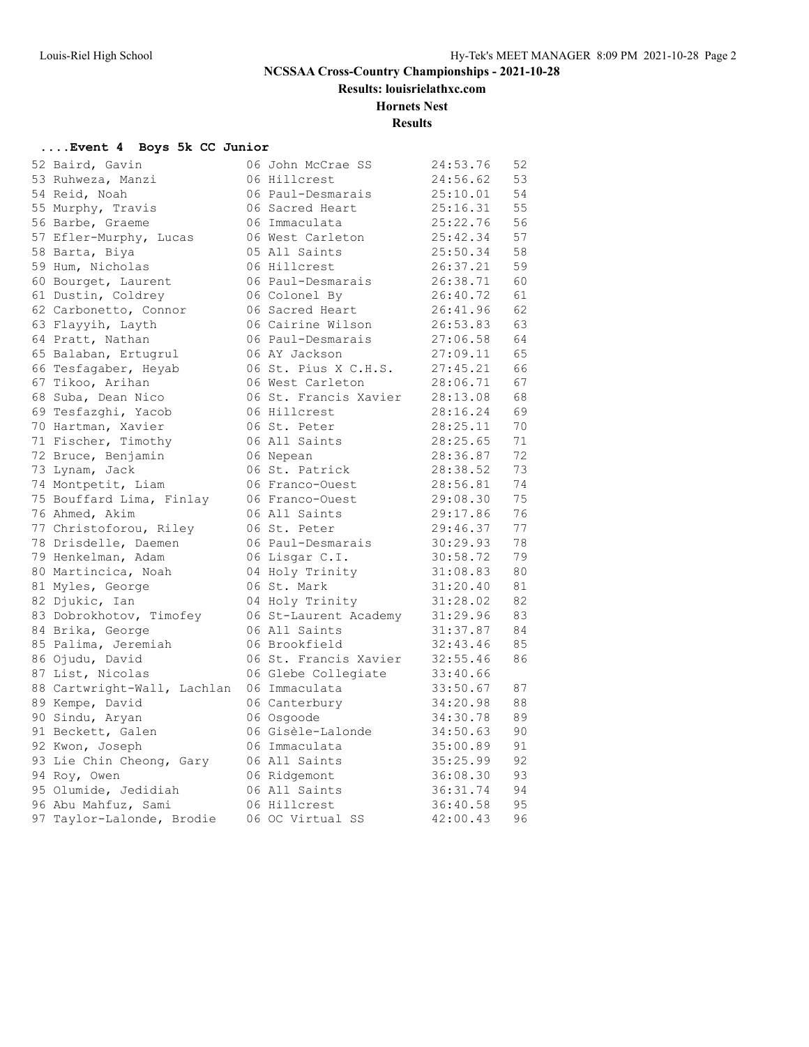**Results: louisrielathxc.com**

#### **Hornets Nest**

**Results**

#### **....Event 4 Boys 5k CC Junior**

|  | 52 Baird, Gavin             | 06 John McCrae SS     | 24:53.76 | 52 |
|--|-----------------------------|-----------------------|----------|----|
|  | 53 Ruhweza, Manzi           | 06 Hillcrest          | 24:56.62 | 53 |
|  | 54 Reid, Noah               | 06 Paul-Desmarais     | 25:10.01 | 54 |
|  | 55 Murphy, Travis           | 06 Sacred Heart       | 25:16.31 | 55 |
|  | 56 Barbe, Graeme            | 06 Immaculata         | 25:22.76 | 56 |
|  | 57 Efler-Murphy, Lucas      | 06 West Carleton      | 25:42.34 | 57 |
|  | 58 Barta, Biya              | 05 All Saints         | 25:50.34 | 58 |
|  | 59 Hum, Nicholas            | 06 Hillcrest          | 26:37.21 | 59 |
|  | 60 Bourget, Laurent         | 06 Paul-Desmarais     | 26:38.71 | 60 |
|  | 61 Dustin, Coldrey          | 06 Colonel By         | 26:40.72 | 61 |
|  | 62 Carbonetto, Connor       | 06 Sacred Heart       | 26:41.96 | 62 |
|  | 63 Flayyih, Layth           | 06 Cairine Wilson     | 26:53.83 | 63 |
|  | 64 Pratt, Nathan            | 06 Paul-Desmarais     | 27:06.58 | 64 |
|  | 65 Balaban, Ertugrul        | 06 AY Jackson         | 27:09.11 | 65 |
|  | 66 Tesfaqaber, Heyab        | 06 St. Pius X C.H.S.  | 27:45.21 | 66 |
|  | 67 Tikoo, Arihan            | 06 West Carleton      | 28:06.71 | 67 |
|  | 68 Suba, Dean Nico          | 06 St. Francis Xavier | 28:13.08 | 68 |
|  | 69 Tesfazghi, Yacob         | 06 Hillcrest          | 28:16.24 | 69 |
|  | 70 Hartman, Xavier          | 06 St. Peter          | 28:25.11 | 70 |
|  | 71 Fischer, Timothy         | 06 All Saints         | 28:25.65 | 71 |
|  | 72 Bruce, Benjamin          | 06 Nepean             | 28:36.87 | 72 |
|  | 73 Lynam, Jack              | 06 St. Patrick        | 28:38.52 | 73 |
|  | 74 Montpetit, Liam          | 06 Franco-Ouest       | 28:56.81 | 74 |
|  | 75 Bouffard Lima, Finlay    | 06 Franco-Ouest       | 29:08.30 | 75 |
|  | 76 Ahmed, Akim              | 06 All Saints         | 29:17.86 | 76 |
|  | 77 Christoforou, Riley      | 06 St. Peter          | 29:46.37 | 77 |
|  | 78 Drisdelle, Daemen        | 06 Paul-Desmarais     | 30:29.93 | 78 |
|  | 79 Henkelman, Adam          | 06 Lisgar C.I.        | 30:58.72 | 79 |
|  | 80 Martincica, Noah         | 04 Holy Trinity       | 31:08.83 | 80 |
|  | 81 Myles, George            | 06 St. Mark           | 31:20.40 | 81 |
|  | 82 Djukic, Ian              | 04 Holy Trinity       | 31:28.02 | 82 |
|  | 83 Dobrokhotov, Timofey     | 06 St-Laurent Academy | 31:29.96 | 83 |
|  | 84 Brika, George            | 06 All Saints         | 31:37.87 | 84 |
|  | 85 Palima, Jeremiah         | 06 Brookfield         | 32:43.46 | 85 |
|  | 86 Ojudu, David             | 06 St. Francis Xavier | 32:55.46 | 86 |
|  | 87 List, Nicolas            | 06 Glebe Collegiate   | 33:40.66 |    |
|  | 88 Cartwright-Wall, Lachlan | 06 Immaculata         | 33:50.67 | 87 |
|  | 89 Kempe, David             | 06 Canterbury         | 34:20.98 | 88 |
|  | 90 Sindu, Aryan             | 06 Osgoode            | 34:30.78 | 89 |
|  | 91 Beckett, Galen           | 06 Gisèle-Lalonde     | 34:50.63 | 90 |
|  | 92 Kwon, Joseph             | 06 Immaculata         | 35:00.89 | 91 |
|  | 93 Lie Chin Cheong, Gary    | 06 All Saints         | 35:25.99 | 92 |
|  | 94 Roy, Owen                | 06 Ridgemont          | 36:08.30 | 93 |
|  | 95 Olumide, Jedidiah        | 06 All Saints         | 36:31.74 | 94 |
|  | 96 Abu Mahfuz, Sami         | 06 Hillcrest          | 36:40.58 | 95 |
|  | 97 Taylor-Lalonde, Brodie   | 06 OC Virtual SS      | 42:00.43 | 96 |
|  |                             |                       |          |    |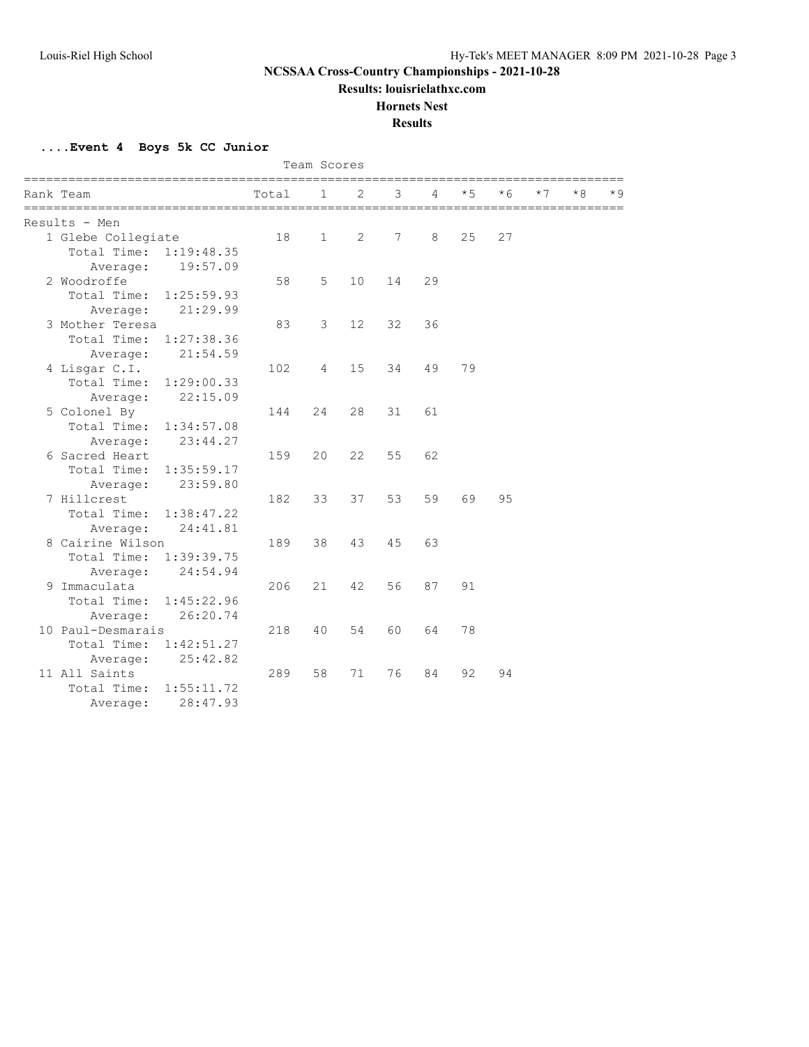**Results: louisrielathxc.com**

#### **Hornets Nest**

**Results**

**....Event 4 Boys 5k CC Junior**

|                           |       | Team Scores  |    |                          |    |      |           |      |    |     |
|---------------------------|-------|--------------|----|--------------------------|----|------|-----------|------|----|-----|
| Rank Team                 | Total | 1            | 2  | 3                        | 4  | $*5$ | * 6       | $*7$ | *8 | * 9 |
|                           |       |              |    | ======================== |    |      | ========= |      |    |     |
| Results - Men             |       |              |    |                          |    |      |           |      |    |     |
| 1 Glebe Collegiate        | 18    | $\mathbf{1}$ | 2  | 7                        | 8  | 25   | 27        |      |    |     |
| Total Time:<br>1:19:48.35 |       |              |    |                          |    |      |           |      |    |     |
| 19:57.09<br>Average:      |       |              |    |                          |    |      |           |      |    |     |
| 2 Woodroffe               | 58    | 5            | 10 | 14                       | 29 |      |           |      |    |     |
| Total Time:<br>1:25:59.93 |       |              |    |                          |    |      |           |      |    |     |
| 21:29.99<br>Average:      |       |              |    |                          |    |      |           |      |    |     |
| 3 Mother Teresa           | 83    | 3            | 12 | 32                       | 36 |      |           |      |    |     |
| Total Time:<br>1:27:38.36 |       |              |    |                          |    |      |           |      |    |     |
| 21:54.59<br>Average:      |       |              |    |                          |    |      |           |      |    |     |
| 4 Lisgar C.I.             | 102   | 4            | 15 | 34                       | 49 | 79   |           |      |    |     |
| Total Time:<br>1:29:00.33 |       |              |    |                          |    |      |           |      |    |     |
| 22:15.09<br>Average:      |       |              |    |                          |    |      |           |      |    |     |
| 5 Colonel By              | 144   | 24           | 28 | 31                       | 61 |      |           |      |    |     |
| Total Time:<br>1:34:57.08 |       |              |    |                          |    |      |           |      |    |     |
| 23:44.27<br>Average:      |       |              |    |                          |    |      |           |      |    |     |
| Sacred Heart<br>6         | 159   | 20           | 22 | 55                       | 62 |      |           |      |    |     |
| Total Time:<br>1:35:59.17 |       |              |    |                          |    |      |           |      |    |     |
| 23:59.80<br>Average:      |       |              |    |                          |    |      |           |      |    |     |
| 7 Hillcrest               | 182   | 33           | 37 | 53                       | 59 | 69   | 95        |      |    |     |
| Total Time:<br>1:38:47.22 |       |              |    |                          |    |      |           |      |    |     |
| Average:<br>24:41.81      |       |              |    |                          |    |      |           |      |    |     |
| 8 Cairine Wilson          | 189   | 38           | 43 | 45                       | 63 |      |           |      |    |     |
| Total Time:<br>1:39:39.75 |       |              |    |                          |    |      |           |      |    |     |
| 24:54.94<br>Average:      |       |              |    |                          |    |      |           |      |    |     |
| Immaculata<br>9.          | 206   | 21           | 42 | 56                       | 87 | 91   |           |      |    |     |
| Total Time:<br>1:45:22.96 |       |              |    |                          |    |      |           |      |    |     |
| 26:20.74<br>Average:      |       |              |    |                          |    |      |           |      |    |     |
| 10 Paul-Desmarais         | 218   | 40           | 54 | 60                       | 64 | 78   |           |      |    |     |
| Total Time:<br>1:42:51.27 |       |              |    |                          |    |      |           |      |    |     |
| 25:42.82<br>Average:      |       |              |    |                          |    |      |           |      |    |     |
| 11 All Saints             | 289   | 58           | 71 | 76                       | 84 | 92   | 94        |      |    |     |
| Total Time:<br>1:55:11.72 |       |              |    |                          |    |      |           |      |    |     |
| 28:47.93<br>Average:      |       |              |    |                          |    |      |           |      |    |     |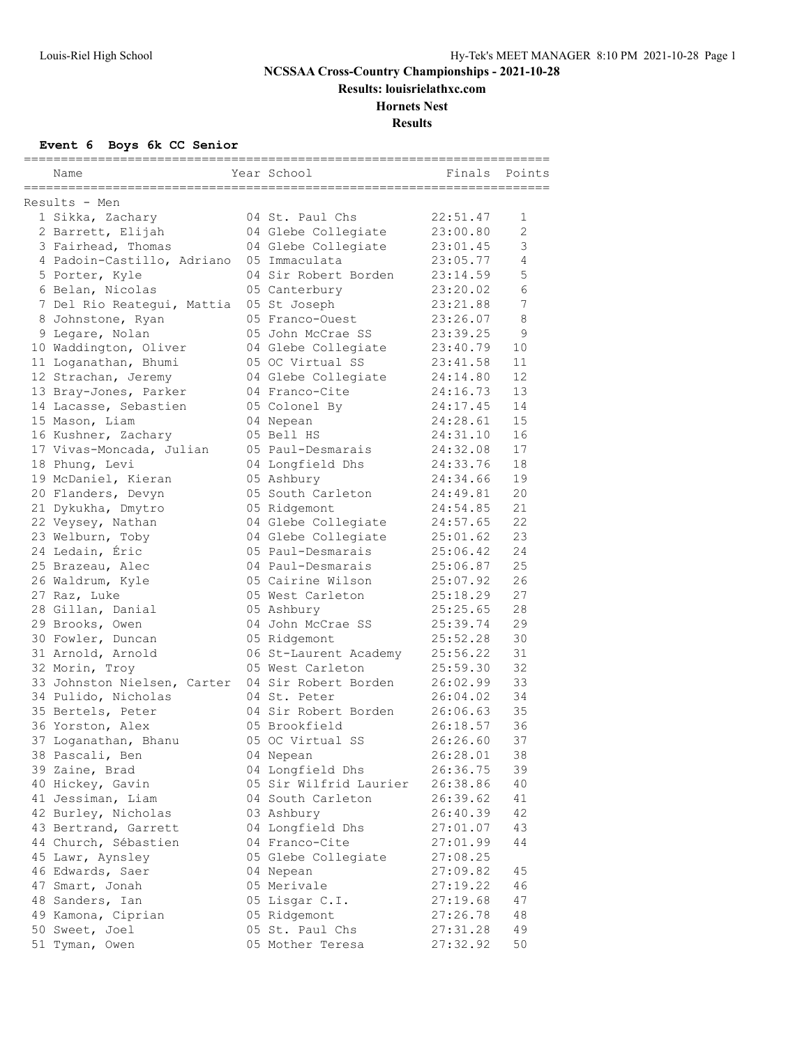**Results: louisrielathxc.com**

## **Hornets Nest**

**Results**

#### **Event 6 Boys 6k CC Senior**

| Name                                                   | Year School                     | Finals               | Points         |
|--------------------------------------------------------|---------------------------------|----------------------|----------------|
| =====================================<br>Results - Men |                                 |                      |                |
| 1 Sikka, Zachary                                       | 04 St. Paul Chs                 | 22:51.47             | 1              |
| 2 Barrett, Elijah                                      | 04 Glebe Collegiate             | 23:00.80             | $\overline{2}$ |
| 3 Fairhead, Thomas                                     | 04 Glebe Collegiate             | 23:01.45             | 3              |
| 4 Padoin-Castillo, Adriano                             | 05 Immaculata                   | 23:05.77             | 4              |
| 5 Porter, Kyle                                         | 04 Sir Robert Borden            | 23:14.59             | 5              |
| 6 Belan, Nicolas                                       | 05 Canterbury                   | 23:20.02             | 6              |
| 7 Del Rio Reategui, Mattia                             | 05 St Joseph                    | 23:21.88             | 7              |
| 8 Johnstone, Ryan                                      | 05 Franco-Ouest                 | 23:26.07             | 8              |
| 9 Legare, Nolan                                        | 05 John McCrae SS               | 23:39.25             | 9              |
| 10 Waddington, Oliver                                  | 04 Glebe Collegiate             | 23:40.79             | 10             |
| 11 Loganathan, Bhumi                                   | 05 OC Virtual SS                | 23:41.58             | 11             |
| 12 Strachan, Jeremy                                    | 04 Glebe Collegiate             | 24:14.80             | 12             |
| 13 Bray-Jones, Parker                                  | 04 Franco-Cite                  | 24:16.73             | 13             |
| 14 Lacasse, Sebastien                                  | 05 Colonel By                   | 24:17.45             | 14             |
| 15 Mason, Liam                                         | 04 Nepean                       | 24:28.61             | 15             |
| 16 Kushner, Zachary                                    | 05 Bell HS                      | 24:31.10             | 16             |
| 17 Vivas-Moncada, Julian                               | 05 Paul-Desmarais               | 24:32.08             | 17             |
| 18 Phung, Levi                                         | 04 Longfield Dhs                | 24:33.76             | 18             |
| 19 McDaniel, Kieran                                    | 05 Ashbury                      | 24:34.66             | 19             |
| 20 Flanders, Devyn                                     | 05 South Carleton               | 24:49.81             | 20             |
| 21 Dykukha, Dmytro                                     | 05 Ridgemont                    | 24:54.85             | 21             |
| 22 Veysey, Nathan                                      | 04 Glebe Collegiate             | 24:57.65             | 22             |
| 23 Welburn, Toby                                       | 04 Glebe Collegiate             | 25:01.62             | 23             |
| 24 Ledain, Éric                                        | 05 Paul-Desmarais               | 25:06.42             | 24             |
| 25 Brazeau, Alec                                       | 04 Paul-Desmarais               | 25:06.87             | 25             |
| 26 Waldrum, Kyle                                       | 05 Cairine Wilson               | 25:07.92             | 26             |
| 27 Raz, Luke                                           | 05 West Carleton                | 25:18.29             | 27             |
| 28 Gillan, Danial                                      | 05 Ashbury                      | 25:25.65             | 28             |
| 29 Brooks, Owen                                        | 04 John McCrae SS               | 25:39.74             | 29             |
| 30 Fowler, Duncan                                      | 05 Ridgemont                    | 25:52.28             | 30             |
| 31 Arnold, Arnold                                      | 06 St-Laurent Academy           | 25:56.22             | 31             |
| 32 Morin, Troy                                         | 05 West Carleton                | 25:59.30             | 32             |
| 33 Johnston Nielsen, Carter                            | 04 Sir Robert Borden            | 26:02.99             | 33             |
| 34 Pulido, Nicholas                                    | 04 St. Peter                    | 26:04.02             | 34             |
| 35 Bertels, Peter                                      | 04 Sir Robert Borden            | 26:06.63             | 35             |
| 36 Yorston, Alex                                       | 05 Brookfield                   | 26:18.57             | 36             |
| 37 Loganathan, Bhanu                                   | 05 OC Virtual SS                | 26:26.60             | 37             |
| 38 Pascali, Ben                                        | 04 Nepean                       | 26:28.01             | 38             |
| 39 Zaine, Brad                                         | 04 Longfield Dhs                | 26:36.75             | 39             |
| 40 Hickey, Gavin                                       | 05 Sir Wilfrid Laurier          | 26:38.86             | 40             |
| 41 Jessiman, Liam                                      | 04 South Carleton               | 26:39.62             | 41<br>42       |
| 42 Burley, Nicholas                                    | 03 Ashbury                      | 26:40.39<br>27:01.07 | 43             |
| 43 Bertrand, Garrett                                   | 04 Longfield Dhs                |                      |                |
| 44 Church, Sébastien                                   | 04 Franco-Cite                  | 27:01.99             | 44             |
| 45 Lawr, Aynsley                                       | 05 Glebe Collegiate             | 27:08.25             | 45             |
| 46 Edwards, Saer                                       | 04 Nepean                       | 27:09.82             |                |
| 47 Smart, Jonah<br>48 Sanders, Ian                     | 05 Merivale                     | 27:19.22             | 46<br>47       |
|                                                        | 05 Lisgar C.I.                  | 27:19.68<br>27:26.78 | 48             |
| 49 Kamona, Ciprian<br>50 Sweet, Joel                   | 05 Ridgemont<br>05 St. Paul Chs |                      | 49             |
| 51 Tyman, Owen                                         | 05 Mother Teresa                | 27:31.28<br>27:32.92 | 50             |
|                                                        |                                 |                      |                |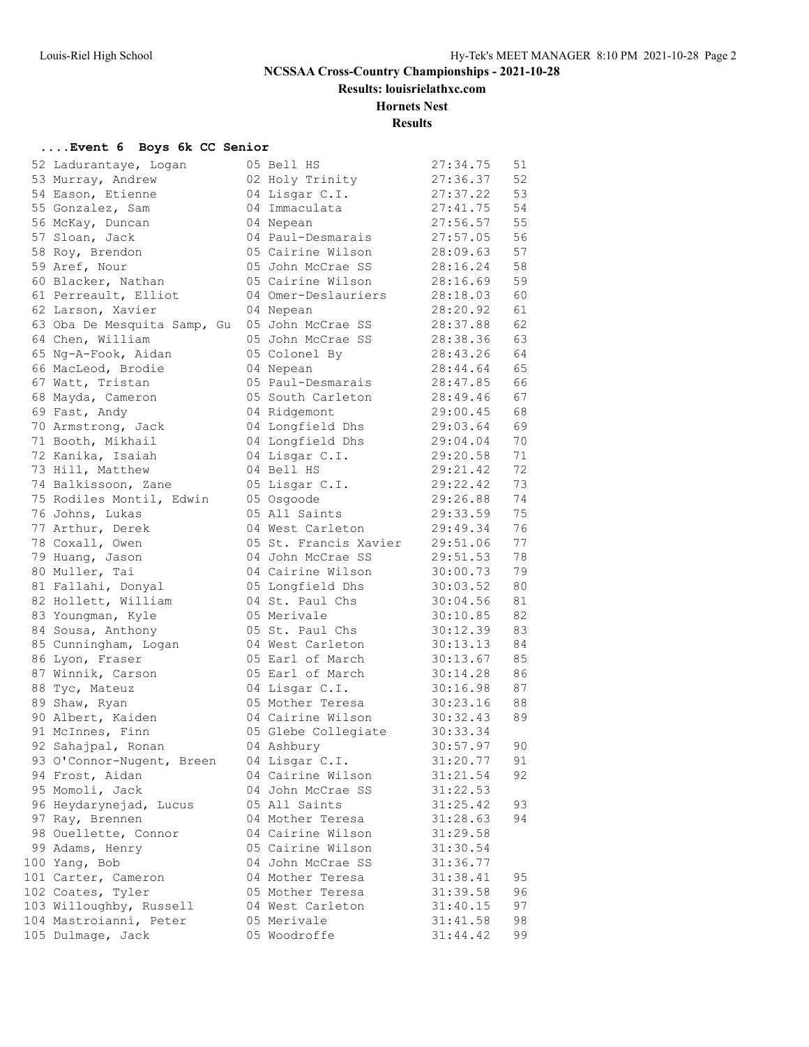**Results: louisrielathxc.com**

#### **Hornets Nest**

**Results**

#### **....Event 6 Boys 6k CC Senior**

| 52 Ladurantaye, Logan       | 05 Bell HS            | 27:34.75 | 51 |
|-----------------------------|-----------------------|----------|----|
| 53 Murray, Andrew           | 02 Holy Trinity       | 27:36.37 | 52 |
| 54 Eason, Etienne           | 04 Lisgar C.I.        | 27:37.22 | 53 |
| 55 Gonzalez, Sam            | 04 Immaculata         | 27:41.75 | 54 |
| 56 McKay, Duncan            | 04 Nepean             | 27:56.57 | 55 |
| 57 Sloan, Jack              | 04 Paul-Desmarais     | 27:57.05 | 56 |
| 58 Roy, Brendon             | 05 Cairine Wilson     | 28:09.63 | 57 |
| 59 Aref, Nour               | 05 John McCrae SS     | 28:16.24 | 58 |
| 60 Blacker, Nathan          | 05 Cairine Wilson     | 28:16.69 | 59 |
| 61 Perreault, Elliot        | 04 Omer-Deslauriers   | 28:18.03 | 60 |
| 62 Larson, Xavier           | 04 Nepean             | 28:20.92 | 61 |
| 63 Oba De Mesquita Samp, Gu | 05 John McCrae SS     | 28:37.88 | 62 |
| 64 Chen, William            | 05 John McCrae SS     | 28:38.36 | 63 |
| 65 Ng-A-Fook, Aidan         | 05 Colonel By         | 28:43.26 | 64 |
| 66 MacLeod, Brodie          | 04 Nepean             | 28:44.64 | 65 |
| 67 Watt, Tristan            | 05 Paul-Desmarais     | 28:47.85 | 66 |
| 68 Mayda, Cameron           | 05 South Carleton     | 28:49.46 | 67 |
|                             |                       |          |    |
| 69 Fast, Andy               | 04 Ridgemont          | 29:00.45 | 68 |
| 70 Armstrong, Jack          | 04 Longfield Dhs      | 29:03.64 | 69 |
| 71 Booth, Mikhail           | 04 Longfield Dhs      | 29:04.04 | 70 |
| 72 Kanika, Isaiah           | 04 Lisgar C.I.        | 29:20.58 | 71 |
| 73 Hill, Matthew            | 04 Bell HS            | 29:21.42 | 72 |
| 74 Balkissoon, Zane         | 05 Lisgar C.I.        | 29:22.42 | 73 |
| 75 Rodiles Montil, Edwin    | 05 Osgoode            | 29:26.88 | 74 |
| 76 Johns, Lukas             | 05 All Saints         | 29:33.59 | 75 |
| 77 Arthur, Derek            | 04 West Carleton      | 29:49.34 | 76 |
| 78 Coxall, Owen             | 05 St. Francis Xavier | 29:51.06 | 77 |
| 79 Huang, Jason             | 04 John McCrae SS     | 29:51.53 | 78 |
| 80 Muller, Tai              | 04 Cairine Wilson     | 30:00.73 | 79 |
| 81 Fallahi, Donyal          | 05 Longfield Dhs      | 30:03.52 | 80 |
| 82 Hollett, William         | 04 St. Paul Chs       | 30:04.56 | 81 |
| 83 Youngman, Kyle           | 05 Merivale           | 30:10.85 | 82 |
| 84 Sousa, Anthony           | 05 St. Paul Chs       | 30:12.39 | 83 |
| 85 Cunningham, Logan        | 04 West Carleton      | 30:13.13 | 84 |
| 86 Lyon, Fraser             | 05 Earl of March      | 30:13.67 | 85 |
| 87 Winnik, Carson           | 05 Earl of March      | 30:14.28 | 86 |
| 88 Tyc, Mateuz              | 04 Lisgar C.I.        | 30:16.98 | 87 |
| 89 Shaw, Ryan               | 05 Mother Teresa      | 30:23.16 | 88 |
| 90 Albert, Kaiden           | 04 Cairine Wilson     | 30:32.43 | 89 |
| 91 McInnes, Finn            | 05 Glebe Collegiate   | 30:33.34 |    |
| 92 Sahajpal, Ronan          | 04 Ashbury            | 30:57.97 | 90 |
| 93 O'Connor-Nugent, Breen   | 04 Lisgar C.I.        | 31:20.77 | 91 |
| 94 Frost, Aidan             | 04 Cairine Wilson     | 31:21.54 | 92 |
| 95 Momoli, Jack             | 04 John McCrae SS     | 31:22.53 |    |
| 96 Heydarynejad, Lucus      | 05 All Saints         | 31:25.42 | 93 |
| 97 Ray, Brennen             | 04 Mother Teresa      | 31:28.63 | 94 |
| 98 Ouellette, Connor        | 04 Cairine Wilson     | 31:29.58 |    |
| 99 Adams, Henry             | 05 Cairine Wilson     | 31:30.54 |    |
| 100 Yang, Bob               | 04 John McCrae SS     | 31:36.77 |    |
| 101 Carter, Cameron         | 04 Mother Teresa      | 31:38.41 | 95 |
| 102 Coates, Tyler           | 05 Mother Teresa      | 31:39.58 | 96 |
| 103 Willoughby, Russell     | 04 West Carleton      | 31:40.15 | 97 |
| 104 Mastroianni, Peter      | 05 Merivale           | 31:41.58 | 98 |
| 105 Dulmage, Jack           | 05 Woodroffe          | 31:44.42 | 99 |
|                             |                       |          |    |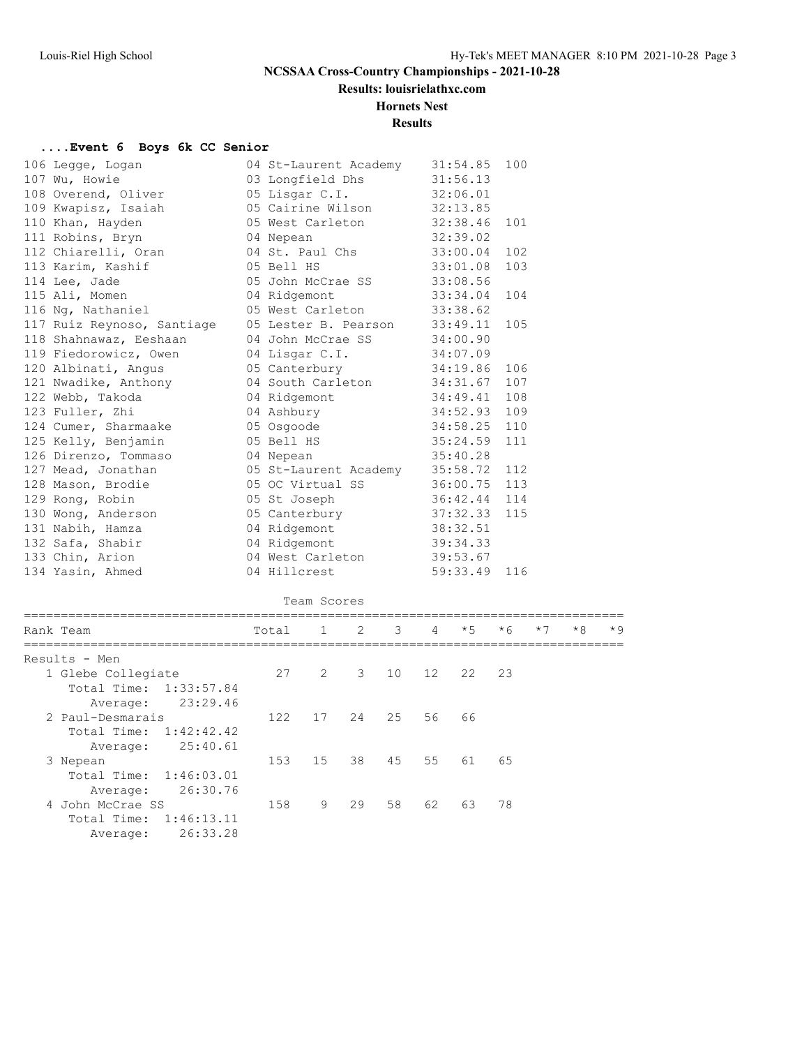**Results: louisrielathxc.com**

#### **Hornets Nest**

#### **Results**

## **....Event 6 Boys 6k CC Senior**

| 106 Legge, Logan                                                                                                                                                            | 04 St-Laurent Academy      | 31:54.85 100 |     |
|-----------------------------------------------------------------------------------------------------------------------------------------------------------------------------|----------------------------|--------------|-----|
|                                                                                                                                                                             |                            |              |     |
|                                                                                                                                                                             |                            |              |     |
| 109 Kwapisz, Isaiah (15 Cairine Wilson 132:13.85)                                                                                                                           |                            |              |     |
| 110 Khan, Hayden                                                                                                                                                            | 05 West Carleton 32:38.46  |              | 101 |
|                                                                                                                                                                             |                            |              |     |
|                                                                                                                                                                             |                            |              |     |
|                                                                                                                                                                             |                            |              | 103 |
| 114 Lee, Jade                                     05 John McCrae SS           33:08.56<br>115 Ali, Momen                         04 Ridgemont                 33:34.04  104 |                            |              |     |
|                                                                                                                                                                             |                            |              |     |
| 116 Ng, Nathaniel (15 Mest Carleton 33:38.62                                                                                                                                |                            |              |     |
| 117 Ruiz Reynoso, Santiage 05 Lester B. Pearson 33:49.11 105                                                                                                                |                            |              |     |
| 118 Shahnawaz, Eeshaan                                                                                                                                                      | 04 John McCrae SS 34:00.90 |              |     |
| 119 Fiedorowicz, Owen 64 Lisgar C.I. 34:07.09                                                                                                                               |                            |              |     |
| 120 Albinati, Angus (1995) 05 Canterbury 194:19.86 106                                                                                                                      |                            |              |     |
| 121 Nwadike, Anthony 104 South Carleton 34:31.67 107                                                                                                                        |                            |              |     |
| 122 Webb, Takoda 64 Ridgemont 34:49.41 108                                                                                                                                  |                            |              |     |
| 123 Fuller, Zhi and the Company of the Company<br>124 Cumer, Sharmaake and the US of OS Osgoode 34:52.93 109<br>125 Kelly, Benjamin and OS Bell HS 35:24.59 111             |                            |              |     |
|                                                                                                                                                                             |                            |              |     |
|                                                                                                                                                                             |                            |              |     |
| 126 Direnzo, Tommaso 64 Nepean                                                                                                                                              | 35:40.28                   |              |     |
| 127 Mead, Jonathan 125 05 St-Laurent Academy 35:58.72 112                                                                                                                   |                            |              |     |
| 128 Mason, Brodie 6 05 0C Virtual SS                                                                                                                                        |                            | 36:00.75 113 |     |
| 129 Rong, Robin                                                                                                                                                             | 05 St Joseph 36:42.44 114  |              |     |
| 130 Wong, Anderson 65 Canterbury 37:32.33 115                                                                                                                               |                            |              |     |
| 131 Nabih, Hamza (1988) 04 Ridgemont (1988) 38:32.51                                                                                                                        |                            |              |     |
|                                                                                                                                                                             |                            |              |     |
| 133 Chin, Arion 64 West Carleton 39:53.67                                                                                                                                   |                            |              |     |
| 134 Yasin, Ahmed                                                                                                                                                            | 04 Hillcrest               | 59:33.49 116 |     |
|                                                                                                                                                                             |                            |              |     |

#### Team Scores

| Rank Team              | Total |     |                | 3        | $\overline{4}$ |          | $*6$ | $*7$                  | $*8$ | $*9$ |
|------------------------|-------|-----|----------------|----------|----------------|----------|------|-----------------------|------|------|
| Results - Men          |       |     |                |          |                |          |      |                       |      |      |
| 1 Glebe Collegiate     | 27    |     |                |          |                |          |      |                       |      |      |
| Total Time: 1:33:57.84 |       |     |                |          |                |          |      |                       |      |      |
| 23:29.46<br>Average:   |       |     |                |          |                |          |      |                       |      |      |
| 2 Paul-Desmarais       | 122   | 17  | 24             |          | 56             | 66       |      |                       |      |      |
| Total Time: 1:42:42.42 |       |     |                |          |                |          |      |                       |      |      |
| 25:40.61<br>Average:   |       |     |                |          |                |          |      |                       |      |      |
| 3 Nepean               | 153   | 1.5 | 38             |          | 55             | 61       | 65   |                       |      |      |
| Total Time: 1:46:03.01 |       |     |                |          |                |          |      |                       |      |      |
| 26:30.76<br>Average:   |       |     |                |          |                |          |      |                       |      |      |
| 4 John McCrae SS       | 158   | 9   | 29             | 58       | 62             | 63       | 78   |                       |      |      |
| Total Time: 1:46:13.11 |       |     |                |          |                |          |      |                       |      |      |
| 26:33.28<br>Average:   |       |     |                |          |                |          |      |                       |      |      |
|                        |       |     | $\overline{2}$ | $1 \t 2$ |                | 25<br>45 |      | $*5$<br>3 10 12 22 23 |      |      |